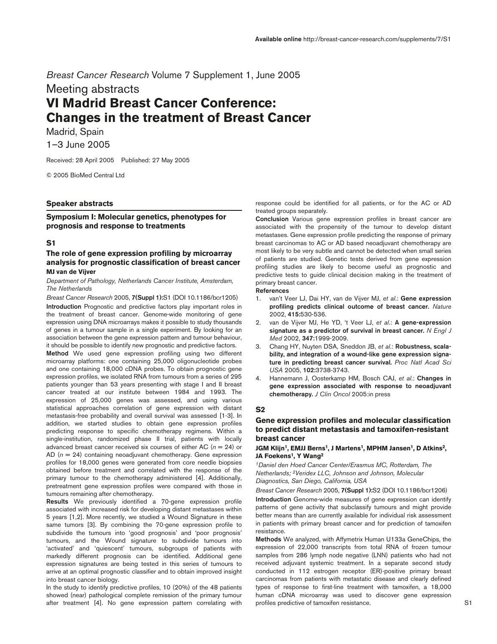*Breast Cancer Research* Volume 7 Supplement 1, June 2005

# Meeting abstracts **VI Madrid Breast Cancer Conference: Changes in the treatment of Breast Cancer**

Madrid, Spain 1–3 June 2005

Received: 28 April 2005 Published: 27 May 2005

© 2005 BioMed Central Ltd

### **Speaker abstracts**

**Symposium I: Molecular genetics, phenotypes for prognosis and response to treatments**

### **S1**

### **The role of gene expression profiling by microarray analysis for prognostic classification of breast cancer MJ van de Vijver**

*Department of Pathology, Netherlands Cancer Institute, Amsterdam, The Netherlands*

*Breast Cancer Research* 2005, **7(Suppl 1):**S1 (DOI 10.1186/bcr1205)

**Introduction** Prognostic and predictive factors play important roles in the treatment of breast cancer. Genome-wide monitoring of gene expression using DNA microarrays makes it possible to study thousands of genes in a tumour sample in a single experiment. By looking for an association between the gene expression pattern and tumour behaviour, it should be possible to identify new prognostic and predictive factors.

**Method** We used gene expression profiling using two different microarray platforms: one containing 25,000 oligonucleotide probes and one containing 18,000 cDNA probes. To obtain prognostic gene expression profiles, we isolated RNA from tumours from a series of 295 patients younger than 53 years presenting with stage I and II breast cancer treated at our institute between 1984 and 1993. The expression of 25,000 genes was assessed, and using various statistical approaches correlation of gene expression with distant metastasis-free probability and overall survival was assessed [1-3]. In addition, we started studies to obtain gene expression profiles predicting response to specific chemotherapy regimens. Within a single-institution, randomized phase II trial, patients with locally advanced breast cancer received six courses of either AC  $(n = 24)$  or AD  $(n = 24)$  containing neoadjuvant chemotherapy. Gene expression profiles for 18,000 genes were generated from core needle biopsies obtained before treatment and correlated with the response of the primary tumour to the chemotherapy administered [4]. Additionally, pretreatment gene expression profiles were compared with those in tumours remaining after chemotherapy.

**Results** We previously identified a 70-gene expression profile associated with increased risk for developing distant metastases within 5 years [1,2]. More recently, we studied a Wound Signature in these same tumors [3]. By combining the 70-gene expression profile to subdivide the tumours into 'good prognosis' and 'poor prognosis' tumours, and the Wound signature to subdivide tumours into 'activated' and 'quiescent' tumours, subgroups of patients with markedly different prognosis can be identified. Additional gene expression signatures are being tested in this series of tumours to arrive at an optimal prognostic classifier and to obtain improved insight into breast cancer biology.

In the study to identify predictive profiles, 10 (20%) of the 48 patients showed (near) pathological complete remission of the primary tumour after treatment [4]. No gene expression pattern correlating with response could be identified for all patients, or for the AC or AD treated groups separately.

**Conclusion** Various gene expression profiles in breast cancer are associated with the propensity of the tumour to develop distant metastases. Gene expression profile predicting the response of primary breast carcinomas to AC or AD based neoadjuvant chemotherapy are most likely to be very subtle and cannot be detected when small series of patients are studied. Genetic tests derived from gene expression profiling studies are likely to become useful as prognostic and predictive tests to guide clinical decision making in the treatment of primary breast cancer.

**References**

- 1. van't Veer LJ, Dai HY, van de Vijver MJ, *et al*.: **Gene expression profiling predicts clinical outcome of breast cancer.** *Nature* 2002, **415:**530-536.
- 2. van de Vijver MJ, He YD, 't Veer LJ, *et al*.: **A gene-expression signature as a predictor of survival in breast cancer.** *N Engl J Med* 2002, **347:**1999-2009.
- 3. Chang HY, Nuyten DSA, Sneddon JB, *et al*.: **Robustness, scalability, and integration of a wound-like gene expression signature in predicting breast cancer survival.** *Proc Natl Acad Sci USA* 2005, **102:**3738-3743.
- 4. Hannemann J, Oosterkamp HM, Bosch CAJ, *et al*.: **Changes in gene expression associated with response to neoadjuvant chemotherapy.** *J Clin Oncol* 2005:in press

#### **S2**

### **Gene expression profiles and molecular classification to predict distant metastasis and tamoxifen-resistant breast cancer**

### **JGM Klijn1, EMJJ Berns1, J Martens1, MPHM Jansen1, D Atkins2, JA Foekens1, Y Wang2**

*1Daniel den Hoed Cancer Center/Erasmus MC, Rotterdam, The Netherlands; 2Veridex LLC, Johnson and Johnson, Molecular Diagnostics, San Diego, California, USA*

*Breast Cancer Research* 2005, **7(Suppl 1):**S2 (DOI 10.1186/bcr1206)

**Introduction** Genome-wide measures of gene expression can identify patterns of gene activity that subclassify tumours and might provide better means than are currently available for individual risk assessment in patients with primary breast cancer and for prediction of tamoxifen resistance.

**Methods** We analyzed, with Affymetrix Human U133a GeneChips, the expression of 22,000 transcripts from total RNA of frozen tumour samples from 286 lymph node negative (LNN) patients who had not received adjuvant systemic treatment. In a separate second study conducted in 112 estrogen receptor (ER)-positive primary breast carcinomas from patients with metastatic disease and clearly defined types of response to first-line treatment with tamoxifen, a 18,000 human cDNA microarray was used to discover gene expression profiles predictive of tamoxifen resistance.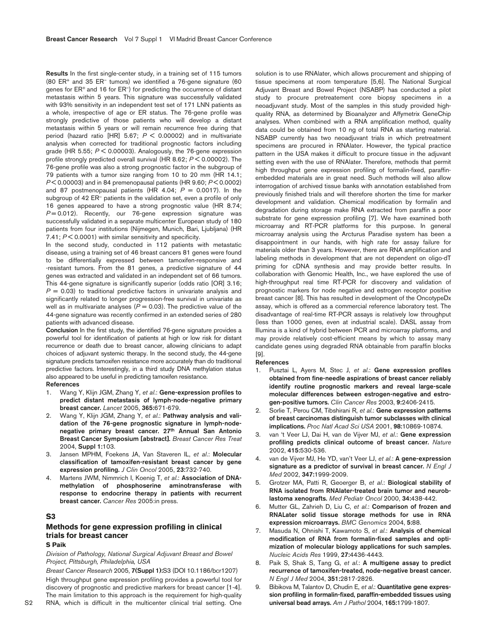**Results** In the first single-center study, in a training set of 115 tumors (80 ER+ and 35 ER– tumors) we identified a 76-gene signature (60 genes for ER+ and 16 for ER–) for predicting the occurrence of distant metastasis within 5 years. This signature was successfully validated with 93% sensitivity in an independent test set of 171 LNN patients as a whole, irrespective of age or ER status. The 76-gene profile was strongly predictive of those patients who will develop a distant metastasis within 5 years or will remain recurrence free during that period (hazard ratio [HR] 5.67; *P* < 0.00002) and in multivariate analysis when corrected for traditional prognostic factors including grade (HR 5.55; *P* < 0.00003). Analogously, the 76-gene expression profile strongly predicted overall survival (HR 8.62; *P* < 0.00002). The 76-gene profile was also a strong prognostic factor in the subgroup of 79 patients with a tumor size ranging from 10 to 20 mm (HR 14.1; *P* < 0.00003) and in 84 premenopausal patients (HR 9.60; *P* < 0.0002) and 87 postmenopausal patients (HR 4.04;  $P = 0.0017$ ). In the subgroup of 42 ER<sup>-</sup> patients in the validation set, even a profile of only 16 genes appeared to have a strong prognostic value (HR 8.74; *P* = 0.012). Recently, our 76-gene expression signature was successfully validated in a separate multicenter European study of 180 patients from four institutions (Nijmegen, Munich, Bari, Ljubljana) (HR 7.41; *P* < 0.0001) with similar sensitivity and specificity.

In the second study, conducted in 112 patients with metastatic disease, using a training set of 46 breast cancers 81 genes were found to be differentially expressed between tamoxifen-responsive and -resistant tumors. From the 81 genes, a predictive signature of 44 genes was extracted and validated in an independent set of 66 tumors. This 44-gene signature is significantly superior (odds ratio [OR] 3.16;  $P = 0.03$ ) to traditional predictive factors in univariate analysis and significantly related to longer progression-free survival in univariate as well as in multivariate analyses  $(P = 0.03)$ . The predictive value of the 44-gene signature was recently confirmed in an extended series of 280 patients with advanced disease.

**Conclusion** In the first study, the identified 76-gene signature provides a powerful tool for identification of patients at high or low risk for distant recurrence or death due to breast cancer, allowing clinicians to adapt choices of adjuvant systemic therapy. In the second study, the 44-gene signature predicts tamoxifen resistance more accurately than do traditional predictive factors. Interestingly, in a third study DNA methylation status also appeared to be useful in predicting tamoxifen resistance.

#### **References**

- 1. Wang Y, Klijn JGM, Zhang Y, *et al*.: **Gene-expression profiles to predict distant metastasis of lymph-node-negative primary breast cancer.** *Lancet* 2005, **365:**671-679.
- 2. Wang Y, Klijn JGM, Zhang Y, *et al*.: **Pathway analysis and validation of the 76-gene prognostic signature in lymph-nodenegative primary breast cancer. 27th Annual San Antonio Breast Cancer Symposium [abstract].** *Breast Cancer Res Treat* 2004, **Suppl 1:**103.
- 3. Jansen MPHM, Foekens JA, Van Staveren IL, *et al*.: **Molecular classification of tamoxifen-resistant breast cancer by gene expression profiling.** *J Clin Oncol* 2005, **23:**732-740.
- 4. Martens JWM, Nimmrich I, Koenig T, *et al*.: **Association of DNAmethylation of phosphoserine aminotransferase with response to endocrine therapy in patients with recurrent breast cancer.** *Cancer Res* 2005:in press.

#### **S3**

### **Methods for gene expression profiling in clinical trials for breast cancer**

#### **S Paik**

*Division of Pathology, National Surgical Adjuvant Breast and Bowel Project, Pittsburgh, Philadelphia, USA*

*Breast Cancer Research* 2005, **7(Suppl 1):**S3 (DOI 10.1186/bcr1207)

High throughput gene expression profiling provides a powerful tool for discovery of prognostic and predictive markers for breast cancer [1-4]. The main limitation to this approach is the requirement for high-quality RNA, which is difficult in the multicenter clinical trial setting. One solution is to use RNAlater, which allows procurement and shipping of tissue specimens at room temperature [5,6]. The National Surgical Adjuvant Breast and Bowel Project (NSABP) has conducted a pilot study to procure pretreatement core biopsy specimens in a neoadjuvant study. Most of the samples in this study provided highquality RNA, as determined by Bioanalyzer and Affymetrix GeneChip analyses. When combined with a RNA amplification method, quality data could be obtained from 10 ng of total RNA as starting material. NSABP currently has two neoadjuvant trials in which pretreatment specimens are procured in RNAlater. However, the typical practice pattern in the USA makes it difficult to procure tissue in the adjuvant setting even with the use of RNAlater. Therefore, methods that permit high throughput gene expression profiling of formalin-fixed, paraffinembedded materials are in great need. Such methods will also allow interrogation of archived tissue banks with annotation established from previously finished trials and will therefore shorten the time for marker development and validation. Chemical modification by formalin and degradation during storage make RNA extracted from paraffin a poor substrate for gene expression profiling [7]. We have examined both microarray and RT-PCR platforms for this purpose. In general microarray analysis using the Arcturus Paradise system has been a disappointment in our hands, with high rate for assay failure for materials older than 3 years. However, there are RNA amplification and labeling methods in development that are not dependent on oligo-dT priming for cDNA synthesis and may provide better results. In collaboration with Genomic Health, Inc., we have explored the use of high-throughput real time RT-PCR for discovery and validation of prognostic markers for node negative and estrogen receptor positive breast cancer [8]. This has resulted in development of the OncotypeDx assay, which is offered as a commercial reference laboratory test. The disadvantage of real-time RT-PCR assays is relatively low throughput (less than 1000 genes, even at industrial scale). DASL assay from Illumina is a kind of hybrid between PCR and microarray platforms, and may provide relatively cost-efficient means by which to assay many candidate genes using degraded RNA obtainable from paraffin blocks [9].

#### **References**

- 1. Pusztai L, Ayers M, Stec J, *et al*.: **Gene expression profiles obtained from fine-needle aspirations of breast cancer reliably identify routine prognostic markers and reveal large-scale molecular differences between estrogen-negative and estrogen-positive tumors.** *Clin Cancer Res* 2003, **9:**2406-2415.
- 2. Sorlie T, Perou CM, Tibshirani R, *et al*.: **Gene expression patterns of breast carcinomas distinguish tumor subclasses with clinical implications.** *Proc Natl Acad Sci USA* 2001, **98:**10869-10874.
- 3. van 't Veer LJ, Dai H, van de Vijver MJ, *et al*.: **Gene expression profiling predicts clinical outcome of breast cancer.** *Nature* 2002, **415:**530-536.
- 4. van de Vijver MJ, He YD, van't Veer LJ, *et al*.: **A gene-expression signature as a predictor of survival in breast cancer.** *N Engl J Med* 2002, **347:**1999-2009.
- 5. Grotzer MA, Patti R, Geoerger B, *et al*.: **Biological stability of RNA isolated from RNAlater-treated brain tumor and neuroblastoma xenografts.** *Med Pediatr Oncol* 2000, **34:**438-442.
- 6. Mutter GL, Zahrieh D, Liu C, *et al*.: **Comparison of frozen and RNALater solid tissue storage methods for use in RNA expression microarrays.** *BMC Genomics* 2004, **5:**88.
- 7. Masuda N, Ohnishi T, Kawamoto S, *et al*.: **Analysis of chemical modification of RNA from formalin-fixed samples and optimization of molecular biology applications for such samples.** *Nucleic Acids Res* 1999, **27:**4436-4443.
- 8. Paik S, Shak S, Tang G, *et al*.: **A multigene assay to predict recurrence of tamoxifen-treated, node-negative breast cancer.** *N Engl J Med* 2004, **351:**2817-2826.
- 9. Bibikova M, Talantov D, Chudin E, *et al*.: **Quantitative gene expression profiling in formalin-fixed, paraffin-embedded tissues using universal bead arrays.** *Am J Pathol* 2004, **165:**1799-1807.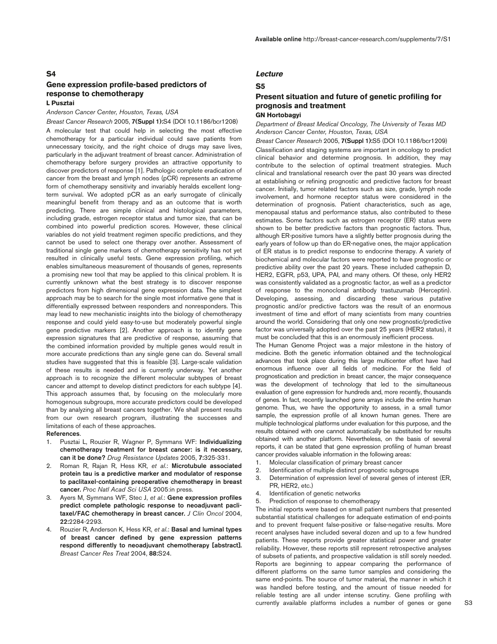## **S4**

# **Gene expression profile-based predictors of response to chemotherapy**

### **L Pusztai**

# *Anderson Cancer Center, Houston, Texas, USA*

*Breast Cancer Research* 2005, **7(Suppl 1):**S4 (DOI 10.1186/bcr1208) A molecular test that could help in selecting the most effective chemotherapy for a particular individual could save patients from unnecessary toxicity, and the right choice of drugs may save lives, particularly in the adjuvant treatment of breast cancer. Administration of chemotherapy before surgery provides an attractive opportunity to discover predictors of response [1]. Pathologic complete eradication of cancer from the breast and lymph nodes (pCR) represents an extreme form of chemotherapy sensitivity and invariably heralds excellent longterm survival. We adopted pCR as an early surrogate of clinically meaningful benefit from therapy and as an outcome that is worth predicting. There are simple clinical and histological parameters, including grade, estrogen receptor status and tumor size, that can be combined into powerful prediction scores. However, these clinical variables do not yield treatment regimen specific predictions, and they cannot be used to select one therapy over another. Assessment of traditional single gene markers of chemotherapy sensitivity has not yet resulted in clinically useful tests. Gene expression profiling, which enables simultaneous measurement of thousands of genes, represents a promising new tool that may be applied to this clinical problem. It is currently unknown what the best strategy is to discover response predictors from high dimensional gene expression data. The simplest approach may be to search for the single most informative gene that is differentially expressed between responders and nonresponders. This may lead to new mechanistic insights into the biology of chemotherapy response and could yield easy-to-use but moderately powerful single gene predictive markers [2]. Another approach is to identify gene expression signatures that are predictive of response, assuming that the combined information provided by multiple genes would result in more accurate predictions than any single gene can do. Several small studies have suggested that this is feasible [3]. Large-scale validation of these results is needed and is currently underway. Yet another approach is to recognize the different molecular subtypes of breast cancer and attempt to develop distinct predictors for each subtype [4]. This approach assumes that, by focusing on the molecularly more homogenous subgroups, more accurate predictors could be developed than by analyzing all breast cancers together. We shall present results from our own research program, illustrating the successes and limitations of each of these approaches.

### **References**.

- 1. Pusztai L, Rouzier R, Wagner P, Symmans WF: **Individualizing chemotherapy treatment for breast cancer: is it necessary, can it be done?** *Drug Resistance Updates* 2005, **7:**325-331.
- 2. Roman R, Rajan R, Hess KR, *et al*.: **Microtubule associated protein tau is a predictive marker and modulator of response to paclitaxel-containing preoperative chemotherapy in breast cancer.** *Proc Natl Acad Sci USA* 2005:in press.
- 3. Ayers M, Symmans WF, Stec J, *et al*.: **Gene expression profiles predict complete pathologic response to neoadjuvant paclitaxel/FAC chemotherapy in breast cancer.** *J Clin Oncol* 2004, **22:**2284-2293.
- 4. Rouzier R, Anderson K, Hess KR, *et al*.: **Basal and luminal types of breast cancer defined by gene expression patterns respond differently to neoadjuvant chemotherapy [abstract].** *Breast Cancer Res Treat* 2004, **88:**S24.

### **Lecture**

#### **S5**

### **Present situation and future of genetic profiling for prognosis and treatment GN Hortobagyi**

#### *Department of Breast Medical Oncology, The University of Texas MD Anderson Cancer Center, Houston, Texas, USA*

#### *Breast Cancer Research* 2005, **7(Suppl 1):**S5 (DOI 10.1186/bcr1209)

Classification and staging systems are important in oncology to predict clinical behavior and determine prognosis. In addition, they may contribute to the selection of optimal treatment strategies. Much clinical and translational research over the past 30 years was directed at establishing or refining prognostic and predictive factors for breast cancer. Initially, tumor related factors such as size, grade, lymph node involvement, and hormone receptor status were considered in the determination of prognosis. Patient characteristics, such as age, menopausal status and performance status, also contributed to these estimates. Some factors such as estrogen receptor (ER) status were shown to be better predictive factors than prognostic factors. Thus, although ER-positive tumors have a slightly better prognosis during the early years of follow up than do ER-negative ones, the major application of ER status is to predict response to endocrine therapy. A variety of biochemical and molecular factors were reported to have prognostic or predictive ability over the past 20 years. These included cathepsin D, HER2, EGFR, p53, UPA, PAI, and many others. Of these, only HER2 was consistently validated as a prognostic factor, as well as a predictor of response to the monoclonal antibody trastuzumab (Herceptin). Developing, assessing, and discarding these various putative prognostic and/or predictive factors was the result of an enormous investment of time and effort of many scientists from many countries around the world. Considering that only one new prognostic/predictive factor was universally adopted over the past 25 years (HER2 status), it must be concluded that this is an enormously inefficient process.

The Human Genome Project was a major milestone in the history of medicine. Both the genetic information obtained and the technological advances that took place during this large multicenter effort have had enormous influence over all fields of medicine. For the field of prognostication and prediction in breast cancer, the major consequence was the development of technology that led to the simultaneous evaluation of gene expression for hundreds and, more recently, thousands of genes. In fact, recently launched gene arrays include the entire human genome. Thus, we have the opportunity to assess, in a small tumor sample, the expression profile of all known human genes. There are multiple technological platforms under evaluation for this purpose, and the results obtained with one cannot automatically be substituted for results obtained with another platform. Nevertheless, on the basis of several reports, it can be stated that gene expression profiling of human breast cancer provides valuable information in the following areas:

- 1. Molecular classification of primary breast cancer
- 2. Identification of multiple distinct prognostic subgroups
- 3. Determination of expression level of several genes of interest (ER, PR, HFR2, etc.)
- 4. Identification of genetic networks
- 5. Prediction of response to chemotherapy

The initial reports were based on small patient numbers that presented substantial statistical challenges for adequate estimation of end-points and to prevent frequent false-positive or false-negative results. More recent analyses have included several dozen and up to a few hundred patients. These reports provide greater statistical power and greater reliability. However, these reports still represent retrospective analyses of subsets of patients, and prospective validation is still sorely needed. Reports are beginning to appear comparing the performance of different platforms on the same tumor samples and considering the same end-points. The source of tumor material, the manner in which it was handled before testing, and the amount of tissue needed for reliable testing are all under intense scrutiny. Gene profiling with currently available platforms includes a number of genes or gene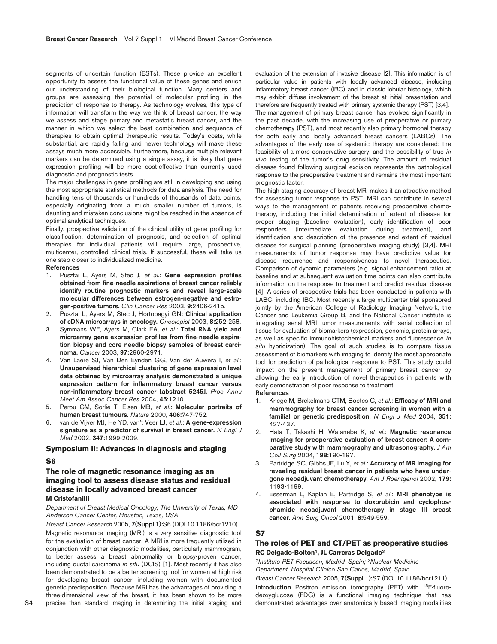segments of uncertain function (ESTs). These provide an excellent opportunity to assess the functional value of these genes and enrich our understanding of their biological function. Many centers and groups are assessing the potential of molecular profiling in the prediction of response to therapy. As technology evolves, this type of information will transform the way we think of breast cancer, the way we assess and stage primary and metastatic breast cancer, and the manner in which we select the best combination and sequence of therapies to obtain optimal therapeutic results. Today's costs, while substantial, are rapidly falling and newer technology will make these assays much more accessible. Furthermore, because multiple relevant markers can be determined using a single assay, it is likely that gene expression profiling will be more cost-effective than currently used diagnostic and prognostic tests.

The major challenges in gene profiling are still in developing and using the most appropriate statistical methods for data analysis. The need for handling tens of thousands or hundreds of thousands of data points, especially originating from a much smaller number of tumors, is daunting and mistaken conclusions might be reached in the absence of optimal analytical techniques.

Finally, prospective validation of the clinical utility of gene profiling for classification, determination of prognosis, and selection of optimal therapies for individual patients will require large, prospective, multicenter, controlled clinical trials. If successful, these will take us one step closer to individualized medicine.

### **References**

- 1. Pusztai L, Ayers M, Stec J, *et al*.: **Gene expression profiles obtained from fine-needle aspirations of breast cancer reliably identify routine prognostic markers and reveal large-scale molecular differences between estrogen-negative and estrogen-positive tumors.** *Clin Cancer Res* 2003, **9:**2406-2415.
- 2. Pusztai L, Ayers M, Stec J, Hortobagyi GN: **Clinical application of cDNA microarrays in oncology.** *Oncologist* 2003, **8:**252-258.
- 3. Symmans WF, Ayers M, Clark EA, *et al*.: **Total RNA yield and microarray gene expression profiles from fine-needle aspiration biopsy and core needle biopsy samples of breast carcinoma.** *Cancer* 2003, **97:**2960-2971.
- 4. Van Laere SJ, Van Den Eynden GG, Van der Auwera I, *et al*.: **Unsupervised hierarchical clustering of gene expression level data obtained by microarray analysis demonstrated a unique expression pattern for inflammatory breast cancer versus non-inflammatory breast cancer [abstract 5245].** *Proc Annu Meet Am Assoc Cancer Res* 2004, **45:**1210.
- 5. Perou CM, Sorlie T, Eisen MB, *et al*.: **Molecular portraits of human breast tumours.** *Nature* 2000, **406:**747-752.
- 6. van de Vijver MJ, He YD, van't Veer LJ, *et al*.: **A gene-expression signature as a predictor of survival in breast cancer.** *N Engl J Med* 2002, **347:**1999-2009.

# **Symposium II: Advances in diagnosis and staging**

### **S6**

### **The role of magnetic resonance imaging as an imaging tool to assess disease status and residual disease in locally advanced breast cancer M Cristofanilli**

*Department of Breast Medical Oncology, The University of Texas, MD Anderson Cancer Center, Houston, Texas, USA*

*Breast Cancer Research* 2005, **7(Suppl 1):**S6 (DOI 10.1186/bcr1210) Magnetic resonance imaging (MRI) is a very sensitive diagnostic tool for the evaluation of breast cancer. A MRI is more frequently utilized in conjunction with other diagnostic modalities, particularly mammogram, to better assess a breast abnormality or biopsy-proven cancer, including ductal carcinoma *in situ* (DCIS) [1]. Most recently it has also been demonstrated to be a better screening tool for women at high risk for developing breast cancer, including women with documented genetic predisposition. Because MRI has the advantages of providing a three-dimensional view of the breast, it has been shown to be more precise than standard imaging in determining the initial staging and

evaluation of the extension of invasive disease [2]. This information is of particular value in patients with locally advanced disease, including inflammatory breast cancer (IBC) and in classic lobular histology, which may exhibit diffuse involvement of the breast at initial presentation and therefore are frequently treated with primary systemic therapy (PST) [3,4]. The management of primary breast cancer has evolved significantly in the past decade, with the increasing use of preoperative or primary chemotherapy (PST), and most recently also primary hormonal therapy for both early and locally advanced breast cancers (LABCs). The advantages of the early use of systemic therapy are considered: the feasibility of a more conservative surgery, and the possibility of true *in vivo* testing of the tumor's drug sensitivity. The amount of residual disease found following surgical excision represents the pathological response to the preoperative treatment and remains the most important prognostic factor.

The high staging accuracy of breast MRI makes it an attractive method for assessing tumor response to PST. MRI can contribute in several ways to the management of patients receiving preoperative chemotherapy, including the initial determination of extent of disease for proper staging (baseline evaluation), early identification of poor responders (intermediate evaluation during treatment), and identification and description of the presence and extent of residual disease for surgical planning (preoperative imaging study) [3,4]. MRI measurements of tumor response may have predictive value for disease recurrence and responsiveness to novel therapeutics. Comparison of dynamic parameters (e.g. signal enhancement ratio) at baseline and at subsequent evaluation time points can also contribute information on the response to treatment and predict residual disease [4]. A series of prospective trials has been conducted in patients with LABC, including IBC. Most recently a large multicenter trial sponsored jointly by the American College of Radiology Imaging Network, the Cancer and Leukemia Group B, and the National Cancer institute is integrating serial MRI tumor measurements with serial collection of tissue for evaluation of biomarkers (expression, genomic, protein arrays, as well as specific immunohistochemical markers and fluorescence *in situ* hybridization). The goal of such studies is to compare tissue assessment of biomarkers with imaging to identify the most appropriate tool for prediction of pathological response to PST. This study could impact on the present management of primary breast cancer by allowing the early introduction of novel therapeutics in patients with early demonstration of poor response to treatment. **References**

- 1. Kriege M, Brekelmans CTM, Boetes C, *et al*.: **Efficacy of MRI and mammography for breast cancer screening in women with a familial or genetic predisposition.** *N Engl J Med* 2004, **351:** 427-437.
- 2. Hata T, Takashi H, Watanebe K, *et al*.: **Magnetic resonance imaging for preoperative evaluation of breast cancer: A comparative study with mammography and ultrasonography.** *J Am Coll Surg* 2004, **198:**190-197.
- 3. Partridge SC, Gibbs JE, Lu Y, *et al*.: **Accuracy of MR imaging for revealing residual breast cancer in patients who have undergone neoadjuvant chemotherapy.** *Am J Roentgenol* 2002, **179:** 1193-1199.
- 4. Esserman L, Kaplan E, Partridge S, *et al*.: **MRI phenotype is associated with response to doxorubicin and cyclophosphamide neoadjuvant chemotherapy in stage III breast cancer.** *Ann Surg Oncol* 2001, **8:**549-559.

#### **S7**

### **The roles of PET and CT/PET as preoperative studies RC Delgado-Bolton1, JL Carreras Delgado2**

*1Instituto PET Focuscan, Madrid, Spain; 2Nuclear Medicine Department, Hospital Clínico San Carlos, Madrid, Spain*

*Breast Cancer Research* 2005, **7(Suppl 1):**S7 (DOI 10.1186/bcr1211)

**Introduction** Positron emission tomography (PET) with 18F-fluorodeoxyglucose (FDG) is a functional imaging technique that has demonstrated advantages over anatomically based imaging modalities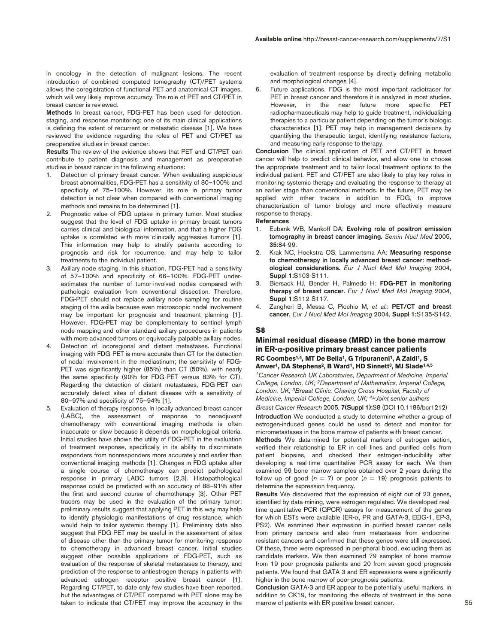in oncology in the detection of malignant lesions. The recent introduction of combined computed tomography (CT)/PET systems allows the coregistration of functional PET and anatomical CT images, which will very likely improve accuracy. The role of PET and CT/PET in breast cancer is reviewed.

**Methods** In breast cancer, FDG-PET has been used for detection, staging, and response monitoring; one of its main clinical applications is defining the extent of recurrent or metastatic disease [1]. We have reviewed the evidence regarding the roles of PET and CT/PET as preoperative studies in breast cancer.

**Results** The review of the evidence shows that PET and CT/PET can contribute to patient diagnosis and management as preoperative studies in breast cancer in the following situations:

- 1. Detection of primary breast cancer. When evaluating suspicious breast abnormalities, FDG-PET has a sensitivity of 80–100% and specificity of 75–100%. However, its role in primary tumor detection is not clear when compared with conventional imaging methods and remains to be determined [1].
- 2. Prognostic value of FDG uptake in primary tumor. Most studies suggest that the level of FDG uptake in primary breast tumors carries clinical and biological information, and that a higher FDG uptake is correlated with more clinically aggressive tumors [1]. This information may help to stratify patients according to prognosis and risk for recurrence, and may help to tailor treatments to the individual patient.
- 3. Axillary node staging. In this situation, FDG-PET had a sensitivity of 57–100% and specificity of 66–100%. FDG-PET underestimates the number of tumor-involved nodes compared with pathologic evaluation from conventional dissection. Therefore, FDG-PET should not replace axillary node sampling for routine staging of the axilla because even microscopic nodal involvement may be important for prognosis and treatment planning [1]. However, FDG-PET may be complementary to sentinel lymph node mapping and other standard axillary procedures in patients with more advanced tumors or equivocally palpable axillary nodes.
- 4. Detection of locoregional and distant metastases. Functional imaging with FDG-PET is more accurate than CT for the detection of nodal involvement in the mediastinum; the sensitivity of FDG-PET was significantly higher (85%) than CT (50%), with nearly the same specificity (90% for FDG-PET versus 83% for CT). Regarding the detection of distant metastases, FDG-PET can accurately detect sites of distant disease with a sensitivity of 80–97% and specificity of 75–94% [1].
- 5. Evaluation of therapy response. In locally advanced breast cancer (LABC), the assessment of response to neoadjuvant chemotherapy with conventional imaging methods is often inaccurate or slow because it depends on morphological criteria. Initial studies have shown the utility of FDG-PET in the evaluation of treatment response, specifically in its ability to discriminate responders from nonresponders more accurately and earlier than conventional imaging methods [1]. Changes in FDG uptake after a single course of chemotherapy can predict pathological response in primary LABC tumors [2,3]. Histopathological response could be predicted with an accuracy of 88–91% after the first and second course of chemotherapy [3]. Other PET tracers may be used in the evaluation of the primary tumor; preliminary results suggest that applying PET in this way may help to identify physiologic manifestations of drug resistance, which would help to tailor systemic therapy [1]. Preliminary data also suggest that FDG-PET may be useful in the assessment of sites of disease other than the primary tumor for monitoring response to chemotherapy in advanced breast cancer. Initial studies suggest other possible applications of FDG-PET, such as evaluation of the response of skeletal metastases to therapy, and prediction of the response to antiestrogen therapy in patients with advanced estrogen receptor positive breast cancer [1]. Regarding CT/PET, to date only few studies have been reported, but the advantages of CT/PET compared with PET alone may be taken to indicate that CT/PET may improve the accuracy in the

evaluation of treatment response by directly defining metabolic and morphological changes [4].

6. Future applications. FDG is the most important radiotracer for PET in breast cancer and therefore it is analyzed in most studies. However, in the near future more specific PET radiopharmaceuticals may help to guide treatment, individualizing therapies to a particular patient depending on the tumor's biologic characteristics [1]. PET may help in management decisions by quantifying the therapeutic target, identifying resistance factors, and measuring early response to therapy.

**Conclusion** The clinical application of PET and CT/PET in breast cancer will help to predict clinical behavior, and allow one to choose the appropriate treatment and to tailor local treatment options to the individual patient. PET and CT/PET are also likely to play key roles in monitoring systemic therapy and evaluating the response to therapy at an earlier stage than conventional methods. In the future, PET may be applied with other tracers in addition to FDG, to improve characterization of tumor biology and more effectively measure response to therapy.

#### **References**

- 1. Eubank WB, Mankoff DA: **Evolving role of positron emission tomography in breast cancer imaging.** *Semin Nucl Med* 2005, **35:**84-99.
- 2. Krak NC, Hoekstra OS, Lammertsma AA: **Measuring response to chemotherapy in locally advanced breast cancer: methodological considerations.** *Eur J Nucl Med Mol Imaging* 2004, **Suppl 1:**S103-S111.
- 3. Biersack HJ, Bender H, Palmedo H: **FDG-PET in monitoring therapy of breast cancer.** *Eur J Nucl Med Mol Imaging* 2004, **Suppl 1:**S112-S117.
- 4. Zangheri B, Messa C, Picchio M, *et al*.: **PET/CT and breast cancer.** *Eur J Nucl Med Mol Imaging* 2004, **Suppl 1:**S135-S142.

#### **S8**

### **Minimal residual disease (MRD) in the bone marrow in ER-**α**-positive primary breast cancer patients** RC Coombes<sup>1,4</sup>, MT De Bella<sup>1</sup>, G Tripuraneni<sup>1</sup>, A Zaidi<sup>1</sup>, S Anwer<sup>1</sup>, DA Stephens<sup>2</sup>, B Ward<sup>1</sup>, HD Sinnett<sup>3</sup>, MJ Slade<sup>1,4,5</sup>

*1Cancer Research UK Laboratories, Department of Medicine, Imperial College, London, UK; 2Department of Mathematics, Imperial College, London, UK; 3Breast Clinic, Charing Cross Hospital, Faculty of Medicine, Imperial College, London, UK; 4,5Joint senior authors*

*Breast Cancer Research* 2005, **7(Suppl 1):**S8 (DOI 10.1186/bcr1212)

**Introduction** We conducted a study to determine whether a group of estrogen-induced genes could be used to detect and monitor for micrometastases in the bone marrow of patients with breast cancer.

**Methods** We data-mined for potential markers of estrogen action, verified their relationship to ER in cell lines and purified cells from patient biopsies, and checked their estrogen-inducibility after developing a real-time quantitative PCR assay for each. We then examined 99 bone marrow samples obtained over 2 years during the follow up of good  $(n = 7)$  or poor  $(n = 19)$  prognosis patients to determine the expression frequency.

**Results** We discovered that the expression of eight out of 23 genes, identified by data-mining, were estrogen-regulated. We developed realtime quantitative PCR (QPCR) assays for measurement of the genes for which ESTs were available (ER-α, PR and GATA-3, EEIG-1, EP-3, PS2). We examined their expression in purified breast cancer cells from primary cancers and also from metastases from endocrineresistant cancers and confirmed that these genes were still expressed. Of these, three were expressed in peripheral blood, excluding them as candidate markers. We then examined 79 samples of bone marrow from 19 poor prognosis patients and 20 from seven good prognosis patients. We found that GATA-3 and ER expressions were significantly higher in the bone marrow of poor-prognosis patients.

**Conclusion** GATA-3 and ER appear to be potentially useful markers, in addition to CK19, for monitoring the effects of treatment in the bone marrow of patients with ER-positive breast cancer.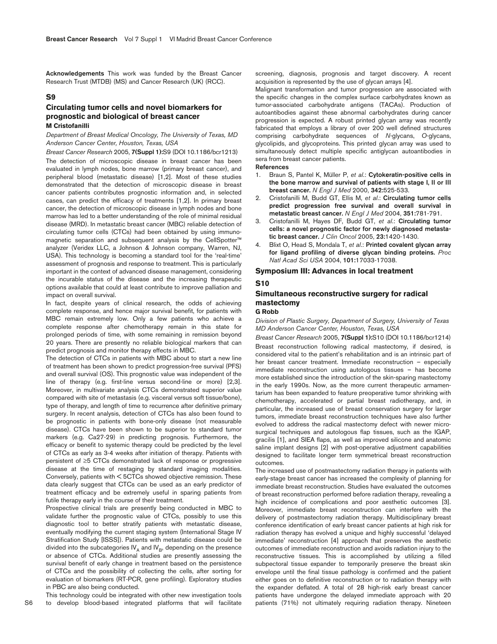**Acknowledgements** This work was funded by the Breast Cancer Research Trust (MTDB) (MS) and Cancer Research (UK) (RCC).

### **S9**

### **Circulating tumor cells and novel biomarkers for prognostic and biological of breast cancer M Cristofanilli**

### *Department of Breast Medical Oncology, The University of Texas, MD Anderson Cancer Center, Houston, Texas, USA*

#### *Breast Cancer Research* 2005, **7(Suppl 1):**S9 (DOI 10.1186/bcr1213)

The detection of microscopic disease in breast cancer has been evaluated in lymph nodes, bone marrow (primary breast cancer), and peripheral blood (metastatic disease) [1,2]. Most of these studies demonstrated that the detection of microscopic disease in breast cancer patients contributes prognostic information and, in selected cases, can predict the efficacy of treatments [1,2]. In primary breast cancer, the detection of microscopic disease in lymph nodes and bone marrow has led to a better understanding of the role of minimal residual disease (MRD). In metastatic breast cancer (MBC) reliable detection of circulating tumor cells (CTCs) had been obtained by using immunomagnetic separation and subsequent analysis by the CellSpotter™ analyzer (Veridex LLC, a Johnson & Johnson company, Warren, NJ, USA). This technology is becoming a standard tool for the 'real-time' assessment of prognosis and response to treatment. This is particularly important in the context of advanced disease management, considering the incurable status of the disease and the increasing therapeutic options available that could at least contribute to improve palliation and impact on overall survival.

In fact, despite years of clinical research, the odds of achieving complete response, and hence major survival benefit, for patients with MBC remain extremely low. Only a few patients who achieve a complete response after chemotherapy remain in this state for prolonged periods of time, with some remaining in remission beyond 20 years. There are presently no reliable biological markers that can predict prognosis and monitor therapy effects in MBC.

The detection of CTCs in patients with MBC about to start a new line of treatment has been shown to predict progression-free survival (PFS) and overall survival (OS). This prognostic value was independent of the line of therapy (e.g. first-line versus second-line or more) [2,3]. Moreover, in multivariate analysis CTCs demonstrated superior value compared with site of metastasis (e.g. visceral versus soft tissue/bone), type of therapy, and length of time to recurrence after definitive primary surgery. In recent analysis, detection of CTCs has also been found to be prognostic in patients with bone-only disease (not measurable disease). CTCs have been shown to be superior to standard tumor markers (e.g. Ca27-29) in predicting prognosis. Furthermore, the efficacy or benefit to systemic therapy could be predicted by the level of CTCs as early as 3-4 weeks after initiation of therapy. Patients with persistent of ≥5 CTCs demonstrated lack of response or progressive disease at the time of restaging by standard imaging modalities. Conversely, patients with < 5CTCs showed objective remission. These data clearly suggest that CTCs can be used as an early predictor of treatment efficacy and be extremely useful in sparing patients from futile therapy early in the course of their treatment.

Prospective clinical trials are presently being conducted in MBC to validate further the prognostic value of CTCs, possibly to use this diagnostic tool to better stratify patients with metastatic disease, eventually modifying the current staging system (International Stage IV Stratification Study [ISSS]). Patients with metastatic disease could be divided into the subcategories  $IV_A$  and  $IV_B$ , depending on the presence or absence of CTCs. Additional studies are presently assessing the survival benefit of early change in treatment based on the persistence of CTCs and the possibility of collecting the cells, after sorting for evaluation of biomarkers (RT-PCR, gene profiling). Exploratory studies in PBC are also being conducted.

This technology could be integrated with other new investigation tools to develop blood-based integrated platforms that will facilitate screening, diagnosis, prognosis and target discovery. A recent acquisition is represented by the use of glycan arrays [4].

Malignant transformation and tumor progression are associated with the specific changes in the complex surface carbohydrates known as tumor-associated carbohydrate antigens (TACAs). Production of autoantibodies against these abnormal carbohydrates during cancer progression is expected. A robust printed glycan array was recently fabricated that employs a library of over 200 well defined structures comprising carbohydrate sequences of *N*-glycans, *O*-glycans, glycolipids, and glycoproteins. This printed glycan array was used to simultaneously detect multiple specific antiglycan autoantibodies in sera from breast cancer patients.

#### **References**

- 1. Braun S, Pantel K, Müller P, *et al*.: **Cytokeratin-positive cells in the bone marrow and survival of patients with stage I, II or III breast cancer.** *N Engl J Med* 2000, **342:**525-533.
- 2. Cristofanilli M, Budd GT, Ellis M, *et al*.: **Circulating tumor cells predict progression free survival and overall survival in metastatic breast cancer.** *N Engl J Med* 2004, **351:**781-791.
- 3. Cristofanilli M, Hayes DF, Budd GT, *et al*.: **Circulating tumor cells: a novel prognostic factor for newly diagnosed metastatic breast cancer.** *J Clin Oncol* 2005, **23:**1420-1430.
- 4. Blixt O, Head S, Mondala T, *et al*.: **Printed covalent glycan array for ligand profiling of diverse glycan binding proteins.** *Proc Natl Acad Sci USA* 2004, **101:**17033-17038.

# **Symposium III: Advances in local treatment S10**

# **Simultaneous reconstructive surgery for radical mastectomy**

### **G Robb**

#### *Division of Plastic Surgery, Department of Surgery, University of Texas MD Anderson Cancer Center, Houston, Texas, USA*

*Breast Cancer Research* 2005, **7(Suppl 1):**S10 (DOI 10.1186/bcr1214) Breast reconstruction following radical mastectomy, if desired, is considered vital to the patient's rehabilitation and is an intrinsic part of her breast cancer treatment. Immediate reconstruction – especially immediate reconstruction using autologous tissues – has become more established since the introduction of the skin-sparing mastectomy in the early 1990s. Now, as the more current therapeutic armamentarium has been expanded to feature preoperative tumor shrinking with chemotherapy, accelerated or partial breast radiotherapy, and, in particular, the increased use of breast conservation surgery for larger tumors, immediate breast reconstruction techniques have also further evolved to address the radical mastectomy defect with newer microsurgical techniques and autologous flap tissues, such as the IGAP, gracilis [1], and SIEA flaps, as well as improved silicone and anatomic saline implant designs [2] with post-operative adjustment capabilities designed to facilitate longer term symmetrical breast reconstruction outcomes.

The increased use of postmastectomy radiation therapy in patients with early-stage breast cancer has increased the complexity of planning for immediate breast reconstruction. Studies have evaluated the outcomes of breast reconstruction performed before radiation therapy, revealing a high incidence of complications and poor aesthetic outcomes [3]. Moreover, immediate breast reconstruction can interfere with the delivery of postmastectomy radiation therapy. Multidisciplinary breast conference identification of early breast cancer patients at high risk for radiation therapy has evolved a unique and highly successful 'delayed immediate' reconstruction [4] approach that preserves the aesthetic outcomes of immediate reconstruction and avoids radiation injury to the reconstructive tissues. This is accomplished by utilizing a filled subpectoral tissue expander to temporarily preserve the breast skin envelope until the final tissue pathology is confirmed and the patient either goes on to definitive reconstruction or to radiation therapy with the expander deflated. A total of 28 high-risk early breast cancer patients have undergone the delayed immediate approach with 20 patients (71%) not ultimately requiring radiation therapy. Nineteen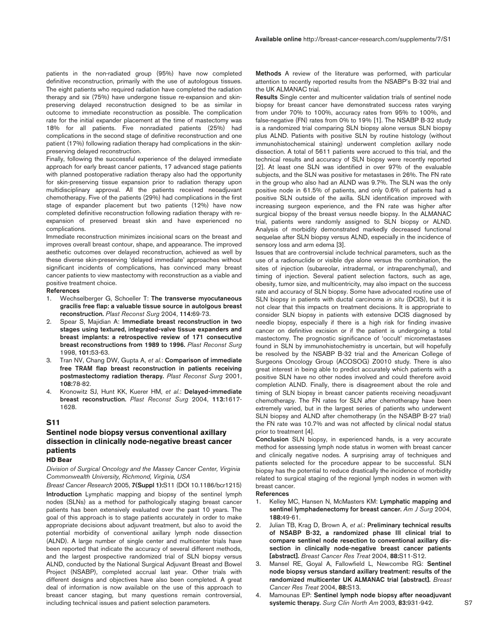patients in the non-radiated group (95%) have now completed definitive reconstruction, primarily with the use of autologous tissues. The eight patients who required radiation have completed the radiation therapy and six (75%) have undergone tissue re-expansion and skinpreserving delayed reconstruction designed to be as similar in outcome to immediate reconstruction as possible. The complication rate for the initial expander placement at the time of mastectomy was 18% for all patients. Five nonradiated patients (25%) had complications in the second stage of definitive reconstruction and one patient (17%) following radiation therapy had complications in the skinpreserving delayed reconstruction.

Finally, following the successful experience of the delayed immediate approach for early breast cancer patients, 17 advanced stage patients with planned postoperative radiation therapy also had the opportunity for skin-preserving tissue expansion prior to radiation therapy upon multidisciplinary approval. All the patients received neoadjuvant chemotherapy. Five of the patients (29%) had complications in the first stage of expander placement but two patients (12%) have now completed definitive reconstruction following radiation therapy with reexpansion of preserved breast skin and have experienced no complications.

Immediate reconstruction minimizes incisional scars on the breast and improves overall breast contour, shape, and appearance. The improved aesthetic outcomes over delayed reconstruction, achieved as well by these diverse skin-preserving 'delayed immediate' approaches without significant incidents of complications, has convinced many breast cancer patients to view mastectomy with reconstruction as a viable and positive treatment choice.

#### **References**

- 1. Wechselberger G, Schoeller T: **The transverse myocutaneous gracilis free flap: a valuable tissue source in autolgous breast reconstruction.** *Plast Reconst Surg* 2004, **114:**69-73.
- 2. Spear S, Majidian A: **Immediate breast reconstruction in two stages using textured, integrated-valve tissue expanders and breast implants: a retrospective review of 171 consecutive breast reconstructions from 1989 to 1996.** *Plast Reconst Surg* 1998, **101:**53-63.
- 3. Tran NV, Chang DW, Gupta A, *et al*.: **Comparison of immediate free TRAM flap breast reconstruction in patients receiving postmastectomy radiation therapy.** *Plast Reconst Surg* 2001, **108:**78-82.
- 4. Kronowitz SJ, Hunt KK, Kuerer HM, *et al*.: **Delayed-immediate breast reconstruction.** *Plast Reconst Surg* 2004, **113:**1617- 1628.

#### **S11**

### **Sentinel node biopsy versus conventional axillary dissection in clinically node-negative breast cancer patients**

### **HD Bear**

*Division of Surgical Oncology and the Massey Cancer Center, Virginia Commonwealth University, Richmond, Virginia, USA*

*Breast Cancer Research* 2005, **7(Suppl 1):**S11 (DOI 10.1186/bcr1215) **Introduction** Lymphatic mapping and biopsy of the sentinel lymph nodes (SLNs) as a method for pathologically staging breast cancer patients has been extensively evaluated over the past 10 years. The goal of this approach is to stage patients accurately in order to make appropriate decisions about adjuvant treatment, but also to avoid the potential morbidity of conventional axillary lymph node dissection (ALND). A large number of single center and multicenter trials have been reported that indicate the accuracy of several different methods, and the largest prospective randomized trial of SLN biopsy versus ALND, conducted by the National Surgical Adjuvant Breast and Bowel Project (NSABP), completed accrual last year. Other trials with different designs and objectives have also been completed. A great deal of information is now available on the use of this approach to breast cancer staging, but many questions remain controversial, including technical issues and patient selection parameters.

**Methods** A review of the literature was performed, with particular attention to recently reported results from the NSABP's B-32 trial and the UK ALMANAC trial.

**Results** Single center and multicenter validation trials of sentinel node biopsy for breast cancer have demonstrated success rates varying from under 70% to 100%, accuracy rates from 95% to 100%, and false-negative (FN) rates from 0% to 19% [1]. The NSABP B-32 study is a randomized trial comparing SLN biopsy alone versus SLN biopsy plus ALND. Patients with positive SLN by routine histology (without immunohistochemical staining) underwent completion axillary node dissection. A total of 5611 patients were accrued to this trial, and the technical results and accuracy of SLN biopsy were recently reported [2]. At least one SLN was identified in over 97% of the evaluable subjects, and the SLN was positive for metastases in 26%. The FN rate in the group who also had an ALND was 9.7%. The SLN was the only positive node in 61.5% of patients, and only 0.6% of patients had a positive SLN outside of the axilla. SLN identification improved with increasing surgeon experience, and the FN rate was higher after surgical biopsy of the breast versus needle biopsy. In the ALMANAC trial, patients were randomly assigned to SLN biopsy or ALND. Analysis of morbidity demonstrated markedly decreased functional sequelae after SLN biopsy versus ALND, especially in the incidence of sensory loss and arm edema [3].

Issues that are controversial include technical parameters, such as the use of a radionuclide or visible dye alone versus the combination, the sites of injection (subareolar, intradermal, or intraparenchymal), and timing of injection. Several patient selection factors, such as age, obesity, tumor size, and multicentricity, may also impact on the success rate and accuracy of SLN biopsy. Some have advocated routine use of SLN biopsy in patients with ductal carcinoma *in situ* (DCIS), but it is not clear that this impacts on treatment decisions. It is appropriate to consider SLN biopsy in patients with extensive DCIS diagnosed by needle biopsy, especially if there is a high risk for finding invasive cancer on definitive excision or if the patient is undergoing a total mastectomy. The prognostic significance of 'occult' micrometastases found in SLN by immunohistochemistry is uncertain, but will hopefully be resolved by the NSABP B-32 trial and the American College of Surgeons Oncology Group (ACOSOG) Z0010 study. There is also great interest in being able to predict accurately which patients with a positive SLN have no other nodes involved and could therefore avoid completion ALND. Finally, there is disagreement about the role and timing of SLN biopsy in breast cancer patients receiving neoadjuvant chemotherapy. The FN rates for SLN after chemotherapy have been extremely varied, but in the largest series of patients who underwent SLN biopsy and ALND after chemotherapy (in the NSABP B-27 trial) the FN rate was 10.7% and was not affected by clinical nodal status prior to treatment [4].

**Conclusion** SLN biopsy, in experienced hands, is a very accurate method for assessing lymph node status in women with breast cancer and clinically negative nodes. A surprising array of techniques and patients selected for the procedure appear to be successful. SLN biopsy has the potential to reduce drastically the incidence of morbidity related to surgical staging of the regional lymph nodes in women with breast cancer.

#### **References**

- 1. Kelley MC, Hansen N, McMasters KM: **Lymphatic mapping and sentinel lymphadenectomy for breast cancer.** *Am J Surg* 2004, **188:**49-61.
- 2. Julian TB, Krag D, Brown A, *et al*.: **Preliminary technical results of NSABP B-32, a randomized phase III clinical trial to compare sentinel node resection to conventional axillary dissection in clinically node-negative breast cancer patients [abstract].** *Breast Cancer Res Treat* 2004, **88:**S11-S12.
- 3. Mansel RE, Goyal A, Fallowfield L, Newcombe RG: **Sentinel node biopsy versus standard axillary treatment: results of the randomized multicenter UK ALMANAC trial [abstract].** *Breast Cancer Res Treat* 2004, **88:**S13.
- 4. Mamounas EP: **Sentinel lymph node biopsy after neoadjuvant systemic therapy.** *Surg Clin North Am* 2003, **83:**931-942.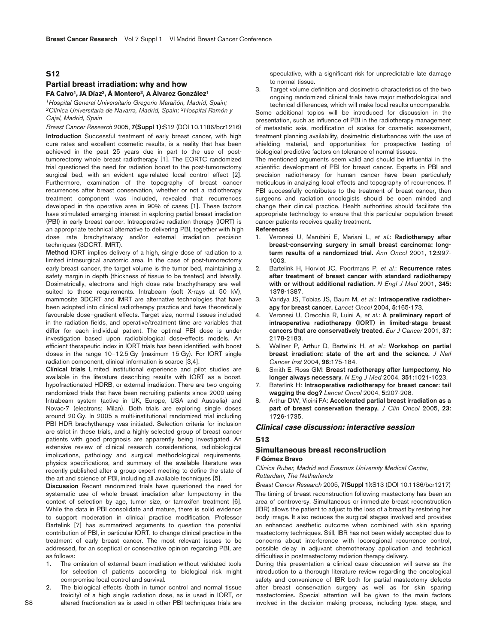### **S12**

#### **Partial breast irradiation: why and how FA Calvo1, JA Díaz2, Á Montero3, A Álvarez González1**

*1Hospital General Universitario Gregorio Marañón, Madrid, Spain; 2Clínica Universitaria de Navarra, Madrid, Spain; 3Hospital Ramón y Cajal, Madrid, Spain*

*Breast Cancer Research* 2005, **7(Suppl 1):**S12 (DOI 10.1186/bcr1216) **Introduction** Successful treatment of early breast cancer, with high cure rates and excellent cosmetic results, is a reality that has been achieved in the past 25 years due in part to the use of posttumorectomy whole breast radiotherapy [1]. The EORTC randomized trial questioned the need for radiation boost to the post-tumorectomy surgical bed, with an evident age-related local control effect [2]. Furthermore, examination of the topography of breast cancer recurrences after breast conservation, whether or not a radiotherapy treatment component was included, revealed that recurrences developed in the operative area in 90% of cases [1]. These factors have stimulated emerging interest in exploring partial breast irradiation (PBI) in early breast cancer. Intraoperative radiation therapy (IORT) is an appropriate technical alternative to delivering PBI, together with high dose rate brachytherapy and/or external irradiation precision techniques (3DCRT, IMRT).

**Method** IORT implies delivery of a high, single dose of radiation to a limited intrasurgical anatomic area. In the case of post-tumorectomy early breast cancer, the target volume is the tumor bed, maintaining a safety margin in depth (thickness of tissue to be treated) and laterally. Dosimetrically, electrons and high dose rate brachytherapy are well suited to these requirements. Intrabeam (soft X-rays at 50 kV), mammosite 3DCRT and IMRT are alternative technologies that have been adopted into clinical radiotherapy practice and have theoretically favourable dose–gradient effects. Target size, normal tissues included in the radiation fields, and operative/treatment time are variables that differ for each individual patient. The optimal PBI dose is under investigation based upon radiobiological dose-effects models. An efficient therapeutic index in IORT trials has been identified, with boost doses in the range 10–12.5 Gy (maximum 15 Gy). For IORT single radiation component, clinical information is scarce [3,4].

**Clínical trials** Limited institutional experience and pilot studies are available in the literature describing results with IORT as a boost, hypofractionated HDRB, or external irradiation. There are two ongoing randomized trials that have been recruiting patients since 2000 using Intrabeam system (active in UK, Europe, USA and Australia) and Novac-7 (electrons; Milan). Both trials are exploring single doses around 20 Gy. In 2005 a multi-institutional randomized trial including PBI HDR brachytherapy was initiated. Selection criteria for inclusion are strict in these trials, and a highly selected group of breast cancer patients with good prognosis are apparently being investigated. An extensive review of clinical research considerations, radiobiological implications, pathology and surgical methodological requirements, physics specifications, and summary of the available literature was recently published after a group expert meeting to define the state of the art and science of PBI, including all available techniques [5].

**Discussion** Recent randomized trials have questioned the need for systematic use of whole breast irradiation after lumpectomy in the context of selection by age, tumor size, or tamoxifen treatment [6]. While the data in PBI consolidate and mature, there is solid evidence to support moderation in clinical practice modification. Professor Bartelink [7] has summarized arguments to question the potential contribution of PBI, in particular IORT, to change clínical practice in the treatment of early breast cancer. The most relevant issues to be addressed, for an sceptical or conservative opinion regarding PBI, are as follows:

- 1. The omission of external beam irradiation without validated tools for selection of patients according to biological risk might compromise local control and survival.
- 2. The biological effects (both in tumor control and normal tissue toxicity) of a high single radiation dose, as is used in IORT, or altered fractionation as is used in other PBI techniques trials are

speculative, with a significant risk for unpredictable late damage to normal tissue.

3. Target volume definition and dosimetric characteristics of the two ongoing randomized clinical trials have major methodological and technical differences, which will make local results uncomparable.

Some additional topics will be introduced for discussion in the presentation, such as influence of PBI in the radiotherapy management of metastatic axia, modification of scales for cosmetic assessment, treatment planning availability, dosimetric disturbances with the use of shielding material, and opportunities for prospective testing of biological predictive factors on tolerance of normal tissues.

The mentioned arguments seem valid and should be influential in the scientific development of PBI for breast cancer. Experts in PBI and precision radiotherapy for human cancer have been particularly meticulous in analyzing local effects and topography of recurrences. If PBI successfully contributes to the treatment of breast cancer, then surgeons and radiation oncologists should be open minded and change their clinical practice. Health authorities should facilitate the appropriate technology to ensure that this particular population breast cancer patients receives quality treatment.

#### **References**

- 1. Veronesi U, Marubini E, Mariani L, *et al*.: **Radiotherapy after breast-conserving surgery in small breast carcinoma: longterm results of a randomized trial.** *Ann Oncol* 2001, **12:**997- 1003.
- 2. Bartelink H, Horviot JC, Poortmans P, *et al*.: **Recurrence rates after treatment of breast cancer with standard radiotherapy with or without additional radiation.** *N Engl J Med* 2001, **345:** 1378-1387.
- 3. Varidya JS, Tobias JS, Baum M, *et al*.: **Intraoperative radiotherapy for breast cancer.** *Lancet Oncol* 2004, **5:**165-173.
- 4. Veronesi U, Orecchia R, Luini A, *et al*.: **A preliminary report of intraoperative radiotherapy (IORT) in limited-stage breast cancers that are conservatively treated.** *Eur J Cancer* 2001, **37:** 2178-2183.
- 5. Wallner P, Arthur D, Bartelink H, *et al*.: **Workshop on partial breast irradiation: state of the art and the science.** *J Natl Cancer Inst* 2004, **96:**175-184.
- 6. Smith E, Ross GM: **Breast radiotherapy after lumpectomy. No longer always necessary.** *N Eng J Med* 2004, **351:**1021-1023.
- 7. Baterlink H: **Intraoperative radiotherapy for breast cancer: tail wagging the dog?** *Lancet Oncol* 2004, **5:**207-208.
- 8. Arthur DW, Vicini FA: **Accelerated partial breast irradiation as a part of breast conservation therapy.** *J Clin Oncol* 2005, **23:** 1726-1735.

### **Clinical case discussion: interactive session**

#### **S13**

### **Simultaneous breast reconstruction**

#### **F Gómez Bravo**

*Clinica Ruber, Madrid and Erasmus University Medical Center, Rotterdam, The Netherlands*

*Breast Cancer Research* 2005, **7(Suppl 1):**S13 (DOI 10.1186/bcr1217) The timing of breast reconstruction following mastectomy has been an area of controversy. Simultaneous or immediate breast reconstruction (IBR) allows the patient to adjust to the loss of a breast by restoring her body image. It also reduces the surgical stages involved and provides an enhanced aesthetic outcome when combined with skin sparing mastectomy techniques. Still, IBR has not been widely accepted due to concerns about interference with locoregional recurrence control, possible delay in adjuvant chemotherapy application and technical difficulties in postmastectomy radiation therapy delivery.

During this presentation a clinical case discussion will serve as the introduction to a thorough literature review regarding the oncological safety and convenience of IBR both for partial mastectomy defects after breast conservation surgery as well as for skin sparing mastectomies. Special attention will be given to the main factors involved in the decision making process, including type, stage, and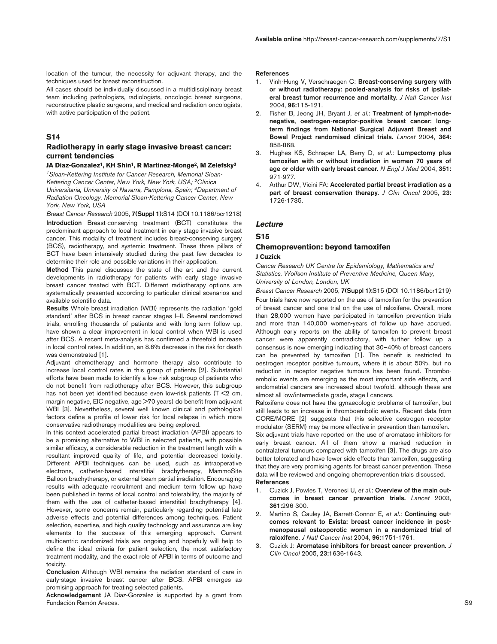location of the tumour, the necessity for adjuvant therapy, and the techniques used for breast reconstruction.

All cases should be individually discussed in a multidisciplinary breast team including pathologists, radiologists, oncologic breast surgeons, reconstructive plastic surgeons, and medical and radiation oncologists, with active participation of the patient.

### **S14**

### **Radiotherapy in early stage invasive breast cancer: current tendencies**

### JA Diaz-Gonzalez<sup>1</sup>, KH Shin<sup>1</sup>, R Martinez-Monge<sup>2</sup>, M Zelefsky<sup>3</sup>

*1Sloan-Kettering Institute for Cancer Research, Memorial Sloan-Kettering Cancer Center, New York, New York, USA; 2Clinica Universitaria, University of Navarra, Pamplona, Spain; 3Department of Radiation Oncology, Memorial Sloan-Kettering Cancer Center, New York, New York, USA*

*Breast Cancer Research* 2005, **7(Suppl 1):**S14 (DOI 10.1186/bcr1218)

**Introduction** Breast-conserving treatment (BCT) constitutes the predominant approach to local treatment in early stage invasive breast cancer. This modality of treatment includes breast-conserving surgery (BCS), radiotherapy, and systemic treatment. These three pillars of BCT have been intensively studied during the past few decades to determine their role and possible variations in their application.

**Method** This panel discusses the state of the art and the current developments in radiotherapy for patients with early stage invasive breast cancer treated with BCT. Different radiotherapy options are systematically presented according to particular clinical scenarios and available scientific data.

**Results** Whole breast irradiation (WBI) represents the radiation 'gold standard' after BCS in breast cancer stages I–II. Several randomized trials, enrolling thousands of patients and with long-term follow up, have shown a clear improvement in local control when WBI is used after BCS. A recent meta-analysis has confirmed a threefold increase in local control rates. In addition, an 8.6% decrease in the risk for death was demonstrated [1].

Adjuvant chemotherapy and hormone therapy also contribute to increase local control rates in this group of patients [2]. Substantial efforts have been made to identify a low-risk subgroup of patients who do not benefit from radiotherapy after BCS. However, this subgroup has not been yet identified because even low-risk patients ( $T < 2$  cm, margin negative, EIC negative, age >70 years) do benefit from adjuvant WBI [3]. Nevertheless, several well known clinical and pathological factors define a profile of lower risk for local relapse in which more conservative radiotherapy modalities are being explored.

In this context accelerated partial breast irradiation (APBI) appears to be a promising alternative to WBI in selected patients, with possible similar efficacy, a considerable reduction in the treatment length with a resultant improved quality of life, and potential decreased toxicity. Different APBI techniques can be used, such as intraoperative electrons, catheter-based interstitial brachytherapy, MammoSite Balloon brachytherapy, or external-beam partial irradiation. Encouraging results with adequate recruitment and medium term follow up have been published in terms of local control and tolerability, the majority of them with the use of catheter-based interstitial brachytherapy [4]. However, some concerns remain, particularly regarding potential late adverse effects and potential differences among techniques. Patient selection, expertise, and high quality technology and assurance are key elements to the success of this emerging approach. Current multicentric randomized trials are ongoing and hopefully will help to define the ideal criteria for patient selection, the most satisfactory treatment modality, and the exact role of APBI in terms of outcome and toxicity.

**Conclusion** Although WBI remains the radiation standard of care in early-stage invasive breast cancer after BCS, APBI emerges as promising approach for treating selected patients.

**Acknowledgement** JA Diaz-Gonzalez is supported by a grant from Fundación Ramón Areces.

#### **References**

- 1. Vinh-Hung V, Verschraegen C: **Breast-conserving surgery with or without radiotherapy: pooled-analysis for risks of ipsilateral breast tumor recurrence and mortality.** *J Natl Cancer Inst* 2004, **96:**115-121.
- 2. Fisher B, Jeong JH, Bryant J, *et al*.: **Treatment of lymph-nodenegative, oestrogen-receptor-positive breast cancer: longterm findings from National Surgical Adjuvant Breast and Bowel Project randomised clinical trials.** *Lancet* 2004, **364:** 858-868.
- 3. Hughes KS, Schnaper LA, Berry D, *et al*.: **Lumpectomy plus tamoxifen with or without irradiation in women 70 years of age or older with early breast cancer.** *N Engl J Med* 2004, **351:** 971-977.
- 4. Arthur DW, Vicini FA: **Accelerated partial breast irradiation as a part of breast conservation therapy.** *J Clin Oncol* 2005, **23:** 1726-1735.

### **Lecture**

#### **S15**

### **Chemoprevention: beyond tamoxifen J Cuzick**

*Cancer Research UK Centre for Epidemiology, Mathematics and Statistics, Wolfson Institute of Preventive Medicine, Queen Mary, University of London, London, UK*

*Breast Cancer Research* 2005, **7(Suppl 1):**S15 (DOI 10.1186/bcr1219) Four trials have now reported on the use of tamoxifen for the prevention of breast cancer and one trial on the use of raloxifene. Overall, more than 28,000 women have participated in tamoxifen prevention trials and more than 140,000 women-years of follow up have accrued. Although early reports on the ability of tamoxifen to prevent breast cancer were apparently contradictory, with further follow up a consensus is now emerging indicating that 30–40% of breast cancers can be prevented by tamoxifen [1]. The benefit is restricted to oestrogen receptor positive tumours, where it is about 50%, but no reduction in receptor negative tumours has been found. Thromboembolic events are emerging as the most important side effects, and endometrial cancers are increased about twofold, although these are almost all low/intermediate grade, stage I cancers.

Raloxifene does not have the gynaecologic problems of tamoxifen, but still leads to an increase in thromboembolic events. Recent data from CORE/MORE [2] suggests that this selective oestrogen receptor modulator (SERM) may be more effective in prevention than tamoxifen. Six adjuvant trials have reported on the use of aromatase inhibitors for early breast cancer. All of them show a marked reduction in contralateral tumours compared with tamoxifen [3]. The drugs are also better tolerated and have fewer side effects than tamoxifen, suggesting that they are very promising agents for breast cancer prevention. These data will be reviewed and ongoing chemoprevention trials discussed. **References**

- 1. Cuzick J, Powles T, Veronesi U, *et al*.: **Overview of the main outcomes in breast cancer prevention trials.** *Lancet* 2003, **361:**296-300.
- 2. Martino S, Cauley JA, Barrett-Connor E, *et al*.: **Continuing outcomes relevant to Evista: breast cancer incidence in postmenopausal osteoporotic women in a randomized trial of raloxifene.** *J Natl Cancer Inst* 2004, **96:**1751-1761.
- 3. Cuzick J: **Aromatase inhibitors for breast cancer prevention.** *J Clin Oncol* 2005, **23:**1636-1643.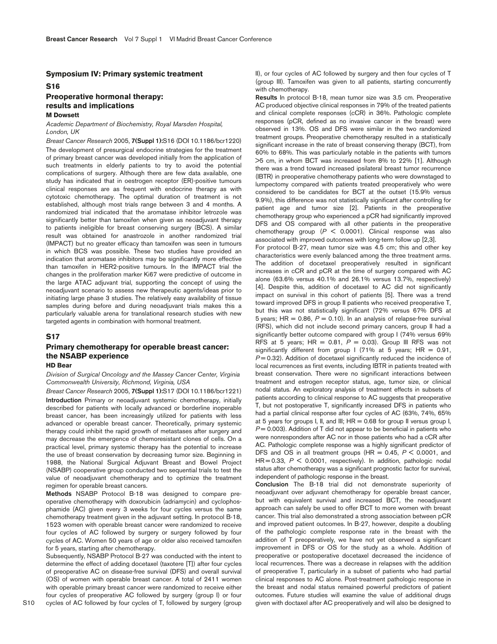#### **Symposium IV: Primary systemic treatment**

#### **S16**

# **Preoperative hormonal therapy: results and implications**

#### **M Dowsett**

*Academic Department of Biochemistry, Royal Marsden Hospital, London, UK*

*Breast Cancer Research* 2005, **7(Suppl 1):**S16 (DOI 10.1186/bcr1220) The development of presurgical endocrine strategies for the treatment of primary breast cancer was developed initially from the application of such treatments in elderly patients to try to avoid the potential complications of surgery. Although there are few data available, one study has indicated that in oestrogen receptor (ER)-positive tumours clinical responses are as frequent with endocrine therapy as with cytotoxic chemotherapy. The optimal duration of treatment is not established, although most trials range between 3 and 4 months. A randomized trial indicated that the aromatase inhibitor letrozole was significantly better than tamoxifen when given as neoadjuvant therapy to patients ineligible for breast conserving surgery (BCS). A similar result was obtained for anastrozole in another randomized trial (IMPACT) but no greater efficacy than tamoxifen was seen in tumours in which BCS was possible. These two studies have provided an indication that aromatase inhibitors may be significantly more effective than tamoxifen in HER2-positive tumours. In the IMPACT trial the changes in the proliferation marker Ki67 were predictive of outcome in the large ATAC adjuvant trial, supporting the concept of using the neoadjuvant scenario to assess new therapeutic agents/ideas prior to initiating large phase 3 studies. The relatively easy availability of tissue samples during before and during neoadjuvant trials makes this a particularly valuable arena for translational research studies with new targeted agents in combination with hormonal treatment.

#### **S17**

### **Primary chemotherapy for operable breast cancer: the NSABP experience**

### **HD Bear**

*Division of Surgical Oncology and the Massey Cancer Center, Virginia Commonwealth University, Richmond, Virginia, USA*

*Breast Cancer Research* 2005, **7(Suppl 1):**S17 (DOI 10.1186/bcr1221) **Introduction** Primary or neoadjuvant systemic chemotherapy, initially described for patients with locally advanced or borderline inoperable breast cancer, has been increasingly utilized for patients with less advanced or operable breast cancer. Theoretically, primary systemic therapy could inhibit the rapid growth of metastases after surgery and may decrease the emergence of chemoresistant clones of cells. On a practical level, primary systemic therapy has the potential to increase the use of breast conservation by decreasing tumor size. Beginning in 1988, the National Surgical Adjuvant Breast and Bowel Project (NSABP) cooperative group conducted two sequential trials to test the value of neoadjuvant chemotherapy and to optimize the treatment regimen for operable breast cancers.

**Methods** NSABP Protocol B-18 was designed to compare preoperative chemotherapy with doxorubicin (adriamycin) and cyclophosphamide (AC) given every 3 weeks for four cycles versus the same chemotherapy treatment given in the adjuvant setting. In protocol B-18, 1523 women with operable breast cancer were randomized to receive four cycles of AC followed by surgery or surgery followed by four cycles of AC. Women 50 years of age or older also received tamoxifen for 5 years, starting after chemotherapy.

Subsequently, NSABP Protocol B-27 was conducted with the intent to determine the effect of adding docetaxel (taxotere [T]) after four cycles of preoperative AC on disease-free survival (DFS) and overall survival (OS) of women with operable breast cancer. A total of 2411 women with operable primary breast cancer were randomized to receive either four cycles of preoperative AC followed by surgery (group I) or four cycles of AC followed by four cycles of T, followed by surgery (group II), or four cycles of AC followed by surgery and then four cycles of T (group III). Tamoxifen was given to all patients, starting concurrently with chemotherapy.

**Results** In protocol B-18, mean tumor size was 3.5 cm. Preoperative AC produced objective clinical responses in 79% of the treated patients and clinical complete responses (cCR) in 36%. Pathologic complete responses (pCR, defined as no invasive cancer in the breast) were observed in 13%. OS and DFS were similar in the two randomized treatment groups. Preoperative chemotherapy resulted in a statistically significant increase in the rate of breast conserving therapy (BCT), from 60% to 68%. This was particularly notable in the patients with tumors >5 cm, in whom BCT was increased from 8% to 22% [1]. Although there was a trend toward increased ipsilateral breast tumor recurrence (IBTR) in preoperative chemotherapy patients who were downstaged to lumpectomy compared with patients treated preoperatively who were considered to be candidates for BCT at the outset (15.9% versus 9.9%), this difference was not statistically significant after controlling for patient age and tumor size [2]. Patients in the preoperative chemotherapy group who experienced a pCR had significantly improved DFS and OS compared with all other patients in the preoperative chemotherapy group (*P* < 0.0001). Clinical response was also associated with improved outcomes with long-term follow up [2,3].

For protocol B-27, mean tumor size was 4.5 cm; this and other key characteristics were evenly balanced among the three treatment arms. The addition of docetaxel preoperatively resulted in significant increases in cCR and pCR at the time of surgery compared with AC alone (63.6% versus 40.1% and 26.1% versus 13.7%, respectively) [4]. Despite this, addition of docetaxel to AC did not significantly impact on survival in this cohort of patients [5]. There was a trend toward improved DFS in group II patients who received preoperative T, but this was not statistically significant (72% versus 67% DFS at 5 years;  $HR = 0.86$ ,  $P = 0.10$ ). In an analysis of relapse-free survival (RFS), which did not include second primary cancers, group II had a significantly better outcome compared with group I (74% versus 69% RFS at 5 years;  $HR = 0.81$ ,  $P = 0.03$ ). Group III RFS was not significantly different from group I (71% at 5 years;  $HR = 0.91$ , *P* = 0.32). Addition of docetaxel significantly reduced the incidence of local recurrences as first events, including IBTR in patients treated with breast conservation. There were no significant interactions between treatment and estrogen receptor status, age, tumor size, or clinical nodal status. An exploratory analysis of treatment effects in subsets of patients according to clinical response to AC suggests that preoperative T, but not postoperative T, significantly increased DFS in patients who had a partial clinical response after four cycles of AC (63%, 74%, 65% at 5 years for groups I, II, and III;  $HR = 0.68$  for group II versus group I,  $P = 0.003$ ). Addition of T did not appear to be beneficial in patients who were nonresponders after AC nor in those patients who had a cCR after AC. Pathologic complete response was a highly significant predictor of DFS and OS in all treatment groups (HR = 0.45, *P* < 0.0001, and HR = 0.33, *P* < 0.0001, respectively). In addition, pathologic nodal status after chemotherapy was a significant prognostic factor for survival, independent of pathologic response in the breast.

**Conclusion** The B-18 trial did not demonstrate superiority of neoadjuvant over adjuvant chemotherapy for operable breast cancer, but with equivalent survival and increased BCT, the neoadjuvant approach can safely be used to offer BCT to more women with breast cancer. This trial also demonstrated a strong association between pCR and improved patient outcomes. In B-27, however, despite a doubling of the pathologic complete response rate in the breast with the addition of T preoperatively, we have not yet observed a significant improvement in DFS or OS for the study as a whole. Addition of preoperative or postoperative docetaxel decreased the incidence of local recurrences. There was a decrease in relapses with the addition of preoperative T, particularly in a subset of patients who had partial clinical responses to AC alone. Post-treatment pathologic response in the breast and nodal status remained powerful predictors of patient outcomes. Future studies will examine the value of additional drugs given with doctaxel after AC preoperatively and will also be designed to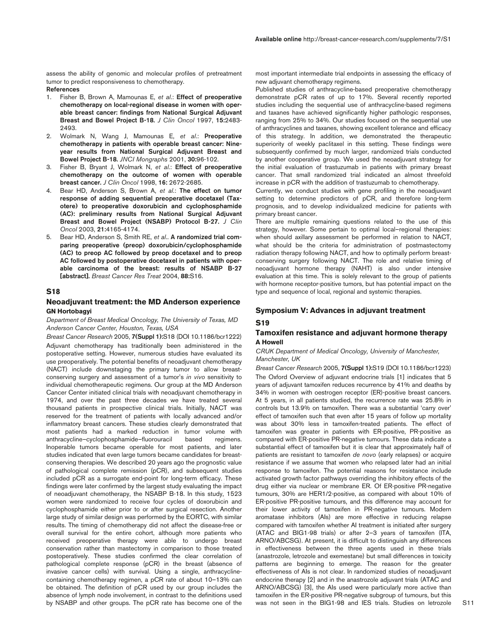assess the ability of genomic and molecular profiles of pretreatment tumor to predict responsiveness to chemotherapy.

### **References**

- 1. Fisher B, Brown A, Mamounas E, *et al*.: **Effect of preoperative chemotherapy on local-regional disease in women with operable breast cancer: findings from National Surgical Adjuvant Breast and Bowel Project B-18.** *J Clin Oncol* 1997, **15:**2483-  $9493.$
- 2. Wolmark N, Wang J, Mamounas E, *et al*.: **Preoperative chemotherapy in patients with operable breast cancer: Nineyear results from National Surgical Adjuvant Breast and Bowel Project B-18.** *JNCI Mongraphs* 2001, **30:**96-102.
- 3. Fisher B, Bryant J, Wolmark N, *et al*.: **Effect of preoperative chemotherapy on the outcome of women with operable breast cancer.** *J Clin Oncol* 1998, **16:** 2672-2685.
- 4. Bear HD, Anderson S, Brown A, *et al*.: **The effect on tumor response of adding sequential preoperative docetaxel (Taxotere) to preoperative doxorubicin and cyclophosphamide (AC): preliminary results from National Surgical Adjuvant Breast and Bowel Project (NSABP) Protocol B-27.** *J Clin Oncol* 2003, **21:**4165-4174.
- 5. Bear HD, Anderson S, Smith RE, *et al*.. **A randomized trial comparing preoperative (preop) doxorubicin/cyclophosphamide (AC) to preop AC followed by preop docetaxel and to preop AC followed by postoperative docetaxel in patients with operable carcinoma of the breast: results of NSABP B-27 [abstract].** *Breast Cancer Res Treat* 2004, **88:**S16.

#### **S18**

#### **Neoadjuvant treatment: the MD Anderson experience GN Hortobagyi**

*Department of Breast Medical Oncology, The University of Texas, MD Anderson Cancer Center, Houston, Texas, USA*

*Breast Cancer Research* 2005, **7(Suppl 1):**S18 (DOI 10.1186/bcr1222) Adjuvant chemotherapy has traditionally been administered in the postoperative setting. However, numerous studies have evaluated its use preoperatively. The potential benefits of neoadjuvant chemotherapy (NACT) include downstaging the primary tumor to allow breastconserving surgery and assessment of a tumor's *in vivo* sensitivity to individual chemotherapeutic regimens. Our group at the MD Anderson Cancer Center initiated clinical trials with neoadjuvant chemotherapy in 1974, and over the past three decades we have treated several thousand patients in prospective clinical trials. Initially, NACT was reserved for the treatment of patients with locally advanced and/or inflammatory breast cancers. These studies clearly demonstrated that most patients had a marked reduction in tumor volume with anthracycline–cyclophosphamide–fluorouracil based regimens. Inoperable tumors became operable for most patients, and later studies indicated that even large tumors became candidates for breastconserving therapies. We described 20 years ago the prognostic value of pathological complete remission (pCR), and subsequent studies included pCR as a surrogate end-point for long-term efficacy. These findings were later confirmed by the largest study evaluating the impact of neoadjuvant chemotherapy, the NSABP B-18. In this study, 1523 women were randomized to receive four cycles of doxorubicin and cyclophosphamide either prior to or after surgical resection. Another large study of similar design was performed by the EORTC, with similar results. The timing of chemotherapy did not affect the disease-free or overall survival for the entire cohort, although more patients who received preoperative therapy were able to undergo breast conservation rather than mastectomy in comparison to those treated postoperatively. These studies confirmed the clear correlation of pathological complete response (pCR) in the breast (absence of invasive cancer cells) with survival. Using a single, anthracyclinecontaining chemotherapy regimen, a pCR rate of about 10–13% can be obtained. The definition of pCR used by our group includes the absence of lymph node involvement, in contrast to the definitions used by NSABP and other groups. The pCR rate has become one of the

most important intermediate trial endpoints in assessing the efficacy of new adjuvant chemotherapy regimens.

Published studies of anthracycline-based preoperative chemotherapy demonstrate pCR rates of up to 17%. Several recently reported studies including the sequential use of anthracycline-based regimens and taxanes have achieved significantly higher pathologic responses, ranging from 25% to 34%. Our studies focused on the sequential use of anthracyclines and taxanes, showing excellent tolerance and efficacy of this strategy. In addition, we demonstrated the therapeutic superiority of weekly paclitaxel in this setting. These findings were subsequently confirmed by much larger, randomized trials conducted by another cooperative group. We used the neoadjuvant strategy for the initial evaluation of trastuzumab in patients with primary breast cancer. That small randomized trial indicated an almost threefold increase in pCR with the addition of trastuzumab to chemotherapy.

Currently, we conduct studies with gene profiling in the neoadjuvant setting to determine predictors of pCR, and therefore long-term prognosis, and to develop individualized medicine for patients with primary breast cancer.

There are multiple remaining questions related to the use of this strategy, however. Some pertain to optimal local–regional therapies: when should axillary assessment be performed in relation to NACT, what should be the criteria for administration of postmastectomy radiation therapy following NACT, and how to optimally perform breastconserving surgery following NACT. The role and relative timing of neoadjuvant hormone therapy (NAHT) is also under intensive evaluation at this time. This is solely relevant to the group of patients with hormone receptor-positive tumors, but has potential impact on the type and sequence of local, regional and systemic therapies.

### **Symposium V: Advances in adjuvant treatment S19**

#### **Tamoxifen resistance and adjuvant hormone therapy A Howell**

#### *CRUK Department of Medical Oncology, University of Manchester, Manchester, UK*

*Breast Cancer Research* 2005, **7(Suppl 1):**S19 (DOI 10.1186/bcr1223) The Oxford Overview of adjuvant endocrine trials [1] indicates that 5 years of adjuvant tamoxifen reduces recurrence by 41% and deaths by 34% in women with oestrogen receptor (ER)-positive breast cancers. At 5 years, in all patients studied, the recurrence rate was 25.8% in controls but 13.9% on tamoxifen. There was a substantial 'carry over' effect of tamoxifen such that even after 15 years of follow up mortality was about 30% less in tamoxifen-treated patients. The effect of tamoxifen was greater in patients with ER-positive, PR-positive as compared with ER-positive PR-negative tumours. These data indicate a substantial effect of tamoxifen but it is clear that approximately half of patients are resistant to tamoxifen *de novo* (early relapses) or acquire resistance if we assume that women who relapsed later had an initial response to tamoxifen. The potential reasons for resistance include activated growth factor pathways overriding the inhibitory effects of the drug either via nuclear or membrane ER. Of ER-positive PR-negative tumours, 30% are HER1/2-positive, as compared with about 10% of ER-positive PR-positive tumours, and this difference may account for their lower activity of tamoxifen in PR-negative tumours. Modern aromatase inhibitors (AIs) are more effective in reducing relapse compared with tamoxifen whether AI treatment is initiated after surgery (ATAC and BIG1-98 trials) or after 2–3 years of tamoxifen (ITA, ARNO/ABCSG). At present, it is difficult to distinguish any differences in effectiveness between the three agents used in these trials (anastrozole, letrozole and exemestane) but small differences in toxicity patterns are beginning to emerge. The reason for the greater effectiveness of AIs is not clear. In randomized studies of neoadjuvant endocrine therapy [2] and in the anastrozole adjuvant trials (ATAC and ARNO/ABCSG) [3], the AIs used were particularly more active than tamoxifen in the ER-positive PR-negative subgroup of tumours, but this was not seen in the BIG1-98 and IES trials. Studies on letrozole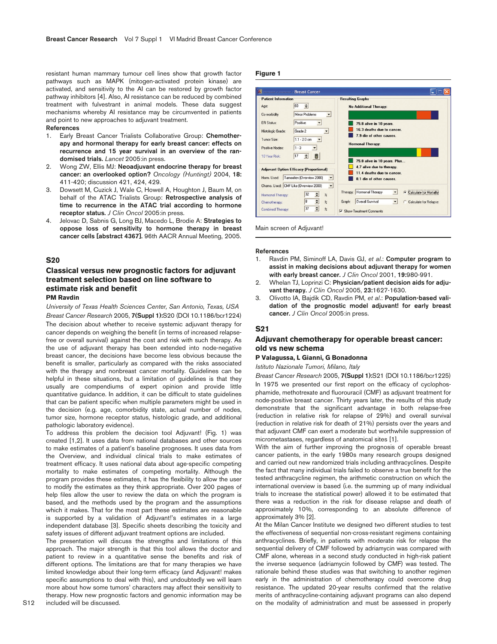resistant human mammary tumour cell lines show that growth factor pathways such as MAPK (mitogen-activated protein kinase) are activated, and sensitivity to the AI can be restored by growth factor pathway inhibitors [4]. Also, AI resistance can be reduced by combined treatment with fulvestrant in animal models. These data suggest mechanisms whereby AI resistance may be circumvented in patients and point to new approaches to adjuvant treatment.

#### **References**

- 1. Early Breast Cancer Trialists Collaborative Group: **Chemotherapy and hormonal therapy for early breast cancer: effects on recurrence and 15 year survival in an overview of the randomised trials.** *Lancet* 2005:in press.
- 2. Wong ZW, Ellis MJ: **Neoadjuvant endocrine therapy for breast cancer: an overlooked option?** *Oncology (Huntingt)* 2004, **18:** 411-420; discussion 421, 424, 429.
- 3. Dowsett M, Cuzick J, Wale C, Howell A, Houghton J, Baum M, on behalf of the ATAC Trialists Group: **Retrospective analysis of time to recurrence in the ATAC trial according to hormone receptor status.** *J Clin Oncol* 2005:in press.
- 4. Jelovac D, Sabnis G, Long BJ, Macedo L, Brodie A: **Strategies to oppose loss of sensitivity to hormone therapy in breast cancer cells [abstract 4367].** 96th AACR Annual Meeting, 2005.

#### **S20**

### **Classical versus new prognostic factors for adjuvant treatment selection based on line software to estimate risk and benefit**

### **PM Ravdin**

*University of Texas Health Sciences Center, San Antonio, Texas, USA Breast Cancer Research* 2005, **7(Suppl 1):**S20 (DOI 10.1186/bcr1224)

The decision about whether to receive systemic adjuvant therapy for cancer depends on weighing the benefit (in terms of increased relapsefree or overall survival) against the cost and risk with such therapy. As the use of adjuvant therapy has been extended into node-negative breast cancer, the decisions have become less obvious because the benefit is smaller, particularly as compared with the risks associated with the therapy and nonbreast cancer mortality. Guidelines can be helpful in these situations, but a limitation of guidelines is that they usually are compendiums of expert opinion and provide little quantitative guidance. In addition, it can be difficult to state guidelines that can be patient specific when multiple parameters might be used in the decision (e.g. age, comorbidity state, actual number of nodes, tumor size, hormone receptor status, histologic grade, and additional pathologic laboratory evidence).

To address this problem the decision tool Adjuvant! (Fig. 1) was created [1,2]. It uses data from national databases and other sources to make estimates of a patient's baseline prognoses. It uses data from the Overview, and individual clinical trials to make estimates of treatment efficacy. It uses national data about age-specific competing mortality to make estimates of competing mortality. Although the program provides these estimates, it has the flexibility to allow the user to modify the estimates as they think appropriate. Over 200 pages of help files allow the user to review the data on which the program is based, and the methods used by the program and the assumptions which it makes. That for the most part these estimates are reasonable is supported by a validation of Adjuvant!'s estimates in a large independent database [3]. Specific sheets describing the toxicity and safety issues of different adjuvant treatment options are included.

The presentation will discuss the strengths and limitations of this approach. The major strength is that this tool allows the doctor and patient to review in a quantitative sense the benefits and risk of different options. The limitations are that for many therapies we have limited knowledge about their long-term efficacy (and Adjuvant! makes specific assumptions to deal with this), and undoubtedly we will learn more about how some tumors' characters may affect their sensitivity to therapy. How new prognostic factors and genomic information may be included will be discussed.

#### **Figure 1**

| <b>Patient Information</b>                                       |                                                                   | <b>Resulting Graphs</b>                                                                           |  |  |
|------------------------------------------------------------------|-------------------------------------------------------------------|---------------------------------------------------------------------------------------------------|--|--|
| Age:                                                             | 60<br>$\div$                                                      | <b>No Additional Therapy:</b>                                                                     |  |  |
| Co-morbidity                                                     | <b>Minor Problems</b><br>$\overline{\phantom{a}}$                 |                                                                                                   |  |  |
| ER Status:                                                       | Positive                                                          | 75.8 alive in 10 years.                                                                           |  |  |
| Histologic Grade:                                                | Grade 2                                                           | 16.3 deaths due to cancer.                                                                        |  |  |
| Tumor Size:                                                      | $1.1 - 2.0$ cm                                                    | 7.9 die of other causes.                                                                          |  |  |
|                                                                  |                                                                   | <b>Hormonal Therapy:</b>                                                                          |  |  |
| Positive Nodes:                                                  | 1.3                                                               |                                                                                                   |  |  |
| 10 Year Risk:                                                    | 17<br>Π<br>$\Rightarrow$                                          |                                                                                                   |  |  |
|                                                                  |                                                                   | 75.8 alive in 10 years. Plus<br>4.7 alive due to therapy.                                         |  |  |
|                                                                  | <b>Adjuvant Option Efficacy (Proportional)</b>                    | 11.4 deaths due to cancer.                                                                        |  |  |
| Tamoxifen (Overview 2000)<br>Horm, Used:<br>$\blacktriangledown$ |                                                                   | 8.1 die of other causes.                                                                          |  |  |
|                                                                  | Chemo. Used: CMF Like (Overview 2000)<br>$\overline{\phantom{a}}$ |                                                                                                   |  |  |
| Hormonal Therapy:                                                | 32<br>÷۱<br>$\boldsymbol{\gamma}$                                 | Hormonal Therapy<br>Therapy:<br>Calculate for Mortality<br>$\sqrt{2}$<br>$\overline{\phantom{a}}$ |  |  |
| Chemotherapy:                                                    | $\div$<br><sup>8</sup><br>$\frac{2}{\sqrt{2}}$                    | Overall Survival<br>Graph:<br>$\overline{\phantom{a}}$<br>C Calculate for Relapse                 |  |  |

Main screen of Adjuvant!

#### **References**

- 1. Ravdin PM, Siminoff LA, Davis GJ, *et al*.: **Computer program to assist in making decisions about adjuvant therapy for women with early breast cancer.** *J Clin Oncol* 2001, **19:**980-991.
- 2. Whelan TJ, Loprinzi C: **Physician/patient decision aids for adjuvant therapy.** *J Clin Oncol* 2005, **23:**1627-1630.
- 3. Olivotto IA, Bajdik CD, Ravdin PM, *et al*.: **Population-based validation of the prognostic model adjuvant! for early breast cancer.** *J Clin Oncol* 2005:in press.

#### **S21**

### **Adjuvant chemotherapy for operable breast cancer: old vs new schema**

### **P Valagussa, L Gianni, G Bonadonna**

*Istituto Nazionale Tumori, Milano, Italy*

*Breast Cancer Research* 2005, **7(Suppl 1):**S21 (DOI 10.1186/bcr1225) In 1975 we presented our first report on the efficacy of cyclophosphamide, methotrexate and fluorouracil (CMF) as adjuvant treatment for node-positive breast cancer. Thirty years later, the results of this study demonstrate that the significant advantage in both relapse-free (reduction in relative risk for relapse of 29%) and overall survival (reduction in relative risk for death of 21%) persists over the years and that adjuvant CMF can exert a moderate but worthwhile suppression of micrometastases, regardless of anatomical sites [1].

With the aim of further improving the prognosis of operable breast cancer patients, in the early 1980s many research groups designed and carried out new randomized trials including anthracyclines. Despite the fact that many individual trials failed to observe a true benefit for the tested anthracycline regimen, the arithmetic construction on which the international overview is based (i.e. the summing up of many individual trials to increase the statistical power) allowed it to be estimated that there was a reduction in the risk for disease relapse and death of approximately 10%, corresponding to an absolute difference of approximately 3% [2].

At the Milan Cancer Institute we designed two different studies to test the effectiveness of sequential non-cross-resistant regimens containing anthracyclines. Briefly, in patients with moderate risk for relapse the sequential delivery of CMF followed by adriamycin was compared with CMF alone, whereas in a second study conducted in high-risk patient the inverse sequence (adriamycin followed by CMF) was tested. The rationale behind these studies was that switching to another regimen early in the administration of chemotherapy could overcome drug resistance. The updated 20-year results confirmed that the relative merits of anthracycline-containing adjuvant programs can also depend on the modality of administration and must be assessed in properly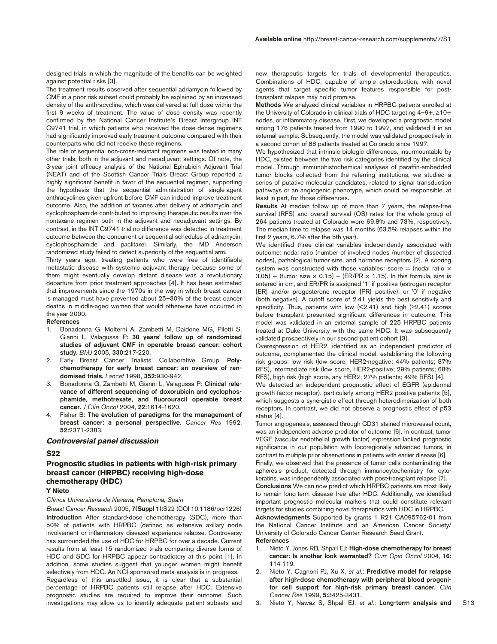designed trials in which the magnitude of the benefits can be weighted against potential risks [3].

The treatment results observed after sequential adriamycin followed by CMF in a poor risk subset could probably be explained by an increased density of the anthracycline, which was delivered at full dose within the first 9 weeks of treatment. The value of dose density was recently confirmed by the National Cancer Institute's Breast Intergroup INT C9741 trial, in which patients who received the dose-dense regimens had significantly improved early treatment outcome compared with their counterparts who did not receive these regimens.

The role of sequential non-cross-resistant regimens was tested in many other trials, both in the adjuvant and neoadjuvant settings. Of note, the 3-year joint efficacy analysis of the National Epirubicin Adjuvant Trial (NEAT) and of the Scottish Cancer Trials Breast Group reported a highly significant benefit in favor of the sequential regimen, supporting the hypothesis that the sequential administration of single-agent anthracyclines given upfront before CMF can indeed improve treatment outcome. Also, the addition of taxanes after delivery of adriamycin and cyclophosphamide contributed to improving therapeutic results over the nontaxane regimen both in the adjuvant and neoadjuvant settings. By contrast, in the INT C9741 trial no difference was detected in treatment outcome between the concurrent or sequential schedules of adriamycin, cyclophosphamide and paclitaxel. Similarly, the MD Anderson randomized study failed to detect superiority of the sequential arm.

Thirty years ago, treating patients who were free of identifiable metastatic disease with systemic adjuvant therapy because some of them might eventually develop distant disease was a revolutionary departure from prior treatment approaches [4]. It has been estimated that improvements since the 1970s in the way in which breast cancer is managed must have prevented about 25–30% of the breast cancer deaths in middle-aged women that would otherwise have occurred in the year 2000.

#### **References**

- 1. Bonadonna G, Molterni A, Zambetti M, Daidone MG, Pilotti S, Gianni L, Valagussa P: **30 years' follow up of randomized studies of adjuvant CMF in operable breast cancer: cohort study.** *BMJ* 2005, **330:**217-220.
- 2. Early Breast Cancer Trialists' Collaborative Group. **Polychemotherapy for early breast cancer: an overview of randomised trials.** *Lancet* 1998, **352:**930-942.
- 3. Bonadonna G, Zambetti M, Gianni L, Valagussa P: **Clinical relevance of different sequencing of doxorubicin and cyclophosphamide, methotrexate, and fluorouracil operable breast cancer.** *J Clin Oncol* 2004, **22:**1614-1620.
- 4. Fisher B: **The evolution of paradigms for the management of breast cancer: a personal perspective.** *Cancer Res* 1992, **52:**2371-2383.

#### **Controversial panel discussion**

#### **S22**

### **Prognostic studies in patients with high-risk primary breast cancer (HRPBC) receiving high-dose chemotherapy (HDC) Y Nieto**

#### *Clínica Universitaria de Navarra, Pamplona, Spain*

*Breast Cancer Research* 2005, **7(Suppl 1):**S22 (DOI 10.1186/bcr1226) **Introduction** After standard-dose chemotherapy (SDC), more than 50% of patients with HRPBC (defined as extensive axillary node involvement or inflammatory disease) experience relapse. Controversy has surrounded the use of HDC for HRPBC for over a decade. Current results from at least 15 randomized trials comparing diverse forms of HDC and SDC for HRPBC appear contradictory at this point [1]. In addition, some studies suggest that younger women might benefit selectively from HDC. An NCI-sponsored meta-analysis is in progress. Regardless of this unsettled issue, it is clear that a substantial percentage of HRPBC patients still relapse after HDC. Extensive prognostic studies are required to improve their outcome. Such investigations may allow us to identify adequate patient subsets and

new therapeutic targets for trials of developmental therapeutics. Combinations of HDC, capable of ample cytoreduction, with novel agents that target specific tumor features responsible for posttransplant relapse may hold promise.

**Methods** We analyzed clinical variables in HRPBC patients enrolled at the University of Colorado in clinical trials of HDC targeting 4–9+, ≥10+ nodes, or inflammatory disease. First, we developed a prognostic model among 176 patients treated from 1990 to 1997, and validated it in an external sample. Subsequently, the model was validated prospectively in a second cohort of 88 patients treated at Colorado since 1997.

We hypothesized that intrinsic biologic differences, insurmountable by HDC, existed between the two risk categories identified by the clinical model. Through immunohistochemical analyses of paraffin-embedded tumor blocks collected from the referring institutions, we studied a series of putative molecular candidates, related to signal transduction pathways or an angiogenic phenotype, which could be responsible, at least in part, for those differences.

**Results** At median follow up of more than 7 years, the relapse-free survival (RFS) and overall survival (OS) rates for the whole group of 264 patients treated at Colorado were 69.8% and 73%, respectively. The median time to relapse was 14 months (63.5% relapses within the first 2 years, 6.7% after the 5th year).

We identified three clinical variables independently associated with outcome: nodal ratio (number of involved nodes /number of dissected nodes), pathological tumor size, and hormone receptors [2]. A scoring system was constructed with those variables:  $score = (nodal ratio \times$  $3.05$ ) + (tumor size  $\times$  0.15) – (ER/PR  $\times$  1.15). In this formula, size is entered in cm, and ER/PR is assigned '1' if positive (estrogen receptor [ER] and/or progesterone receptor [PR] positive), or '0' if negative (both negative). A cutoff score of 2.41 yields the best sensitivity and specificity. Thus, patients with low  $(2.41)$  and high ( $\geq$ 2.41) scores before transplant presented significant differences in outcome. This model was validated in an external sample of 225 HRPBC patients treated at Duke University with the same HDC. It was subsequently validated prospectively in our second patient cohort [3].

Overexpression of HER2, identified as an independent predictor of outcome, complemented the clinical model, establishing the following risk groups: low risk (low score, HER2-negative; 44% patients; 87% RFS), intermediate risk (low score, HER2-positive; 29% patients; 68% RFS), high risk (high score, any HER2; 27% patients; 49% RFS) [4].

We detected an independent prognostic effect of EGFR (epidermal growth factor receptor), particularly among HER2-positive patients [5], which suggests a synergistic effect through heterodimerization of both receptors. In contrast, we did not observe a prognostic effect of p53 status [4].

Tumor angiogenesis, assessed through CD31-stained microvessel count, was an independent adverse predictor of outcome [6]. In contrast, tumor VEGF (vascular endothelial growth factor) expression lacked prognostic significance in our population with locoregionally advanced tumors, in contrast to multiple prior observations in patients with earlier disease [6].

Finally, we observed that the presence of tumor cells contaminating the apheresis product, detected through immunocytochemistry for cytokeratins, was independently associated with post-transplant relapse [7]. **Conclusions** We can now predict which HRPBC patients are most likely to remain long-term disease free after HDC. Additionally, we identified important prognostic molecular markers that could constitute relevant

targets for studies combining novel therapeutics with HDC in HRPBC. **Acknowledgments** Supported by grants 1 R21 CA095762-01 from the National Cancer Institute and an American Cancer Society/ University of Colorado Cancer Center Research Seed Grant.

#### **References**

- 1. Nieto Y, Jones RB, Shpall EJ: **High-dose chemotherapy for breast cancer: Is another look warranted?** *Curr Opin Oncol* 2004, **16:** 114-119.
- 2. Nieto Y, Cagnoni PJ, Xu X, *et al*.: **Predictive model for relapse after high-dose chemotherapy with peripheral blood progenitor cell support for high-risk primary breast cancer.** *Clin Cancer Res* 1999, **5:**3425-3431.
- S13 3. Nieto Y, Nawaz S, Shpall EJ, *et al*.: **Long-term analysis and**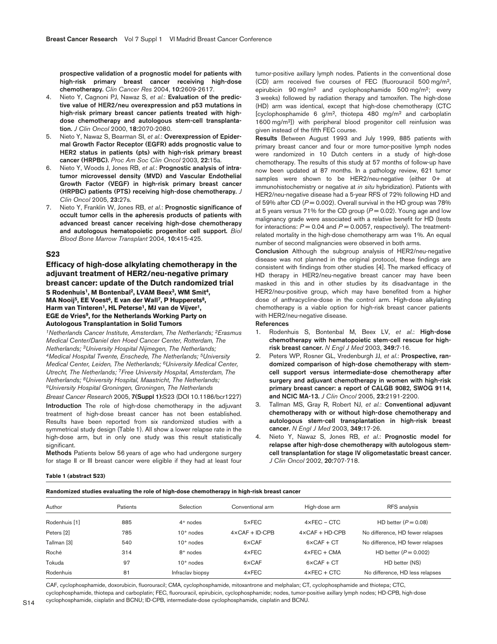**prospective validation of a prognostic model for patients with high-risk primary breast cancer receiving high-dose chemotherapy.** *Clin Cancer Res* 2004, **10:**2609-2617.

- 4. Nieto Y, Cagnoni PJ, Nawaz S, *et al*.: **Evaluation of the predictive value of HER2/neu overexpression and p53 mutations in high-risk primary breast cancer patients treated with highdose chemotherapy and autologous stem-cell transplantation.** *J Clin Oncol* 2000, **18:**2070-2080.
- 5. Nieto Y, Nawaz S, Bearman SI, *et al*.: **Overexpression of Epidermal Growth Factor Receptor (EGFR) adds prognostic value to HER2 status in patients (pts) with high-risk primary breast cancer (HRPBC).** *Proc Am Soc Clin Oncol* 2003, **22:**15a.
- 6. Nieto Y, Woods J, Jones RB, *et al*.: **Prognostic analysis of intratumor microvessel density (MVD) and Vascular Endothelial Growth Factor (VEGF) in high-risk primary breast cancer (HRPBC) patients (PTS) receiving high-dose chemotherapy.** *J Clin Oncol* 2005, **23:**27s.
- 7. Nieto Y, Franklin W, Jones RB, *et al*.: **Prognostic significance of occult tumor cells in the apheresis products of patients with advanced breast cancer receiving high-dose chemotherapy and autologous hematopoietic progenitor cell support.** *Biol Blood Bone Marrow Transplant* 2004, **10:**415-425.

### **S23**

**Efficacy of high-dose alkylating chemotherapy in the adjuvant treatment of HER2/neu-negative primary breast cancer: update of the Dutch randomized trial S Rodenhuis1, M Bontenbal2, LVAM Beex3, WM Smit4,**  MA Nooij<sup>5</sup>, EE Voest<sup>6</sup>, E van der Wall<sup>7</sup>, P Hupperets<sup>8</sup>, **Harm van Tinteren1, HL Peterse1, MJ van de Vijver1, EGE de Vries9, for the Netherlands Working Party on Autologous Transplantation in Solid Tumors**

*1Netherlands Cancer Institute, Amsterdam, The Netherlands; 2Erasmus Medical Center/Daniel den Hoed Cancer Center, Rotterdam, The Netherlands; 3University Hospital Nijmegen, The Netherlands; 4Medical Hospital Twente, Enschede, The Netherlands; 5University Medical Center, Leiden, The Netherlands; 6University Medical Center, Utrecht, The Netherlands; 7Free University Hospital, Amsterdam, The Netherlands; 8University Hospital, Maastricht, The Netherlands; 9University Hospital Groningen, Groningen, The Netherlands*

*Breast Cancer Research* 2005, **7(Suppl 1):**S23 (DOI 10.1186/bcr1227) **Introduction** The role of high-dose chemotherapy in the adjuvant treatment of high-dose breast cancer has not been established. Results have been reported from six randomized studies with a symmetrical study design (Table 1). All show a lower relapse rate in the high-dose arm, but in only one study was this result statistically significant.

**Methods** Patients below 56 years of age who had undergone surgery for stage II or III breast cancer were eligible if they had at least four tumor-positive axillary lymph nodes. Patients in the conventional dose (CD) arm received five courses of FEC (fluorouracil 500 mg/m2, epirubicin 90 mg/m2 and cyclophosphamide 500 mg/m2; every 3 weeks) followed by radiation therapy and tamoxifen. The high-dose (HD) arm was identical, except that high-dose chemotherapy (CTC [cyclophosphamide 6  $q/m^2$ , thiotepa 480 mg/m<sup>2</sup> and carboplatin 1600 mg/m2]) with peripheral blood progenitor cell reinfusion was given instead of the fifth FEC course.

**Results** Between August 1993 and July 1999, 885 patients with primary breast cancer and four or more tumor-positive lymph nodes were randomized in 10 Dutch centers in a study of high-dose chemotherapy. The results of this study at 57 months of follow-up have now been updated at 87 months. In a pathology review, 621 tumor samples were shown to be HER2/neu-negative (either 0+ at immunohistochemistry or negative at *in situ* hybridization). Patients with HER2/neu-negative disease had a 5-year RFS of 72% following HD and of 59% after CD (*P* = 0.002). Overall survival in the HD group was 78% at 5 years versus 71% for the CD group  $(P = 0.02)$ . Young age and low malignancy grade were associated with a relative benefit for HD (tests for interactions:  $P = 0.04$  and  $P = 0.0057$ , respectively). The treatmentrelated mortality in the high-dose chemotherapy arm was 1%. An equal number of second malignancies were observed in both arms.

**Conclusion** Although the subgroup analysis of HER2/neu-negative disease was not planned in the original protocol, these findings are consistent with findings from other studies [4]. The marked efficacy of HD therapy in HER2/neu-negative breast cancer may have been masked in this and in other studies by its disadvantage in the HER2/neu-positive group, which may have benefited from a higher dose of anthracycline-dose in the control arm. High-dose alkylating chemotherapy is a viable option for high-risk breast cancer patients with HER2/neu-negative disease.

#### **References**

- 1. Rodenhuis S, Bontenbal M, Beex LV, *et al*.: **High-dose chemotherapy with hematopoietic stem-cell rescue for highrisk breast cancer.** *N Engl J Med* 2003, **349:**7-16.
- 2. Peters WP, Rosner GL, Vredenburgh JJ, *et al*.: **Prospective, randomized comparison of high-dose chemotherapy with stemcell support versus intermediate-dose chemotherapy after surgery and adjuvant chemotherapy in women with high-risk primary breast cancer: a report of CALGB 9082, SWOG 9114, and NCIC MA-13.** *J Clin Oncol* 2005, **23:**2191-2200.
- 3. Tallman MS, Gray R, Robert NJ, *et al*.: **Conventional adjuvant chemotherapy with or without high-dose chemotherapy and autologous stem-cell transplantation in high-risk breast cancer.** *N Engl J Med* 2003, **349:**17-26.
- 4. Nieto Y, Nawaz S, Jones RB, *et al*.: **Prognostic model for relapse after high-dose chemotherapy with autologous stemcell transplantation for stage IV oligometastatic breast cancer.** *J Clin Oncol* 2002, **20:**707-718.

#### **Table 1 (abstract S23)**

**Randomized studies evaluating the role of high-dose chemotherapy in high-risk breast cancer**

| Author        | <b>Patients</b> | Selection        | Conventional arm        | High-dose arm           | <b>RFS</b> analysis              |
|---------------|-----------------|------------------|-------------------------|-------------------------|----------------------------------|
| Rodenhuis [1] | 885             | $4+$ nodes       | 5×FEC                   | $4\times$ FEC – CTC     | HD better $(P = 0.08)$           |
| Peters [2]    | 785             | $10+$ nodes      | $4 \times CAF + ID-CPB$ | $4 \times CAF + HD-CPB$ | No difference, HD fewer relapses |
| Tallman [3]   | 540             | $10+$ nodes      | 6×CAF                   | $6 \times CAF + CT$     | No difference, HD fewer relapses |
| Roché         | 314             | $8+$ nodes       | $4\times$ FEC           | $4\times$ FEC + CMA     | HD better $(P = 0.002)$          |
| Tokuda        | 97              | $10+$ nodes      | 6×CAF                   | $6 \times CAF + CT$     | HD better (NS)                   |
| Rodenhuis     | 81              | Infraclav biopsy | $4\times$ FEC           | $4\times$ FEC + CTC     | No difference, HD less relapses  |

CAF, cyclophosphamide, doxorubicin, fluorouracil; CMA, cyclophosphamide, mitoxantrone and melphalan; CT, cyclophosphamide and thiotepa; CTC, cyclophosphamide, thiotepa and carboplatin; FEC, fluorouracil, epirubicin, cyclophosphamide; nodes, tumor-positive axillary lymph nodes; HD-CPB, high-dose cyclophosphamide, cisplatin and BCNU; ID-CPB, intermediate-dose cyclophosphamide, cisplatin and BCNU.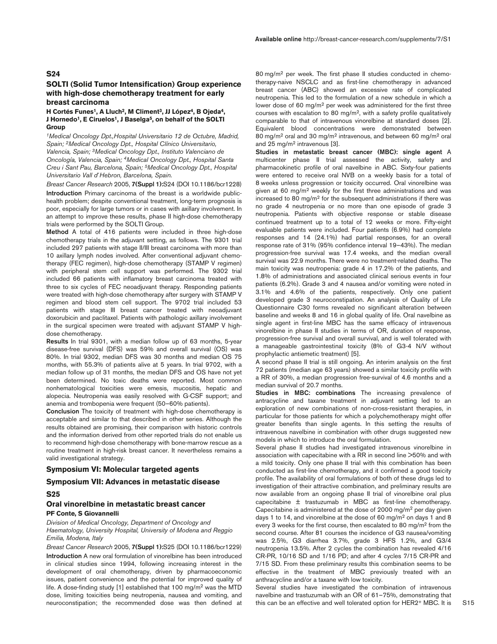### **S24**

### **SOLTI (Solid Tumor Intensification) Group experience with high-dose chemotherapy treatment for early breast carcinoma**

#### **H Cortés Funes1, A Lluch2, M Climent3, JJ López4, B Ojeda4, J Hornedo1, E Ciruelos1, J Baselga5, on behalf of the SOLTI Group**

*1Medical Oncology Dpt.,Hospital Universitario 12 de Octubre, Madrid, Spain; 2Medical Oncology Dpt., Hospital Clínico Universitario, Valencia, Spain; 3Medical Oncology Dpt., Instituto Valenciano de Oncología, Valencia, Spain; 4Medical Oncology Dpt., Hospital Santa Creu i Sant Pau, Barcelona, Spain; 5Medical Oncology Dpt., Hospital Universitario Vall d´Hebron, Barcelona, Spain.*

*Breast Cancer Research* 2005, **7(Suppl 1):**S24 (DOI 10.1186/bcr1228) **Introduction** Primary carcinoma of the breast is a worldwide publichealth problem; despite conventional treatment, long-term prognosis is poor, especially for large tumors or in cases with axillary involvement. In an attempt to improve these results, phase II high-dose chemotherapy trials were performed by the SOLTI Group.

**Method** A total of 416 patients were included in three high-dose chemotherapy trials in the adjuvant setting, as follows. The 9301 trial included 297 patients with stage II/III breast carcinoma with more than 10 axillary lymph nodes involved. After conventional adjuvant chemotherapy (FEC regimen), high-dose chemotherapy (STAMP V regimen) with peripheral stem cell support was performed. The 9302 trial included 66 patients with inflamatory breast carcinoma treated with three to six cycles of FEC neoadjuvant therapy. Responding patients were treated with high-dose chemotherapy after surgery with STAMP V regimen and blood stem cell support. The 9702 trial included 53 patients with stage III breast cancer treated with neoadjuvant doxorubicin and paclitaxel. Patients with pathologic axillary involvement in the surgical specimen were treated with adjuvant STAMP V highdose chemotherapy.

**Results** In trial 9301, with a median follow up of 63 months, 5-year disease-free survival (DFS) was 59% and overall survival (OS) was 80%. In trial 9302, median DFS was 30 months and median OS 75 months, with 55.3% of patients alive at 5 years. In trial 9702, with a median follow up of 31 months, the median DFS and OS have not yet been determined. No toxic deaths were reported. Most common nonhematological toxicities were emesis, mucositis, hepatic and alopecia. Neutropenia was easily resolved with G-CSF support; and anemia and trombopenia were frequent (50–60% patients).

**Conclusion** The toxicity of treatment with high-dose chemotherapy is acceptable and similar to that described in other series. Although the results obtained are promising, their comparison with historic controls and the information derived from other reported trials do not enable us to recommend high-dose chemotherapy with bone-marrow rescue as a routine treatment in high-risk breast cancer. It nevertheless remains a valid investigational strategy.

#### **Symposium VI: Molecular targeted agents**

**Symposium VII: Advances in metastatic disease S25**

### **Oral vinorelbine in metastatic breast cancer PF Conte, S Giovannelli**

*Division of Medical Oncology, Department of Oncology and Haematology, University Hospital, University of Modena and Reggio Emilia, Modena, Italy*

*Breast Cancer Research* 2005, **7(Suppl 1):**S25 (DOI 10.1186/bcr1229) **Introduction** A new oral formulation of vinorelbine has been introduced in clinical studies since 1994, following increasing interest in the development of oral chemotherapy, driven by pharmacoeconomic issues, patient convenience and the potential for improved quality of life. A dose-finding study [1] established that 100 mg/m2 was the MTD dose, limiting toxicities being neutropenia, nausea and vomiting, and neuroconstipation; the recommended dose was then defined at

80 mg/m2 per week. The first phase II studies conducted in chemotherapy-naive NSCLC and as first-line chemotherapy in advanced breast cancer (ABC) showed an excessive rate of complicated neutropenia. This led to the formulation of a new schedule in which a lower dose of 60 mg/m2 per week was administered for the first three courses with escalation to 80 mg/m2, with a safety profile qualitatively comparable to that of intravenous vinorelbine at standard doses [2]. Equivalent blood concentrations were demonstrated between 80 mg/m2 oral and 30 mg/m2 intravenous, and between 60 mg/m2 oral and 25 mg/m2 intravenous [3].

**Studies in metastatic breast cancer (MBC): single agent** A multicenter phase II trial assessed the activity, safety and pharmacokinetic profile of oral navelbine in ABC. Sixty-four patients were entered to receive oral NVB on a weekly basis for a total of 8 weeks unless progression or toxicity occurred. Oral vinorelbine was given at 60 mg/m2 weekly for the first three administrations and was increased to 80 mg/m2 for the subsequent administrations if there was no grade 4 neutropenia or no more than one episode of grade 3 neutropenia. Patients with objective response or stable disease continued treatment up to a total of 12 weeks or more. Fifty-eight evaluable patients were included. Four patients (6.9%) had complete responses and 14 (24.1%) had partial responses, for an overall response rate of 31% (95% confidence interval 19–43%). The median progression-free survival was 17.4 weeks, and the median overall survival was 22.9 months. There were no treatment-related deaths. The main toxicity was neutropenia: grade 4 in 17.2% of the patients, and 1.8% of administrations and associated clinical serious events in four patients (6.2%). Grade 3 and 4 nausea and/or vomiting were noted in 3.1% and 4.6% of the patients, respectively. Only one patient developed grade 3 neuroconstipation. An analysis of Quality of Life Questionnaire C30 forms revealed no significant alteration between baseline and weeks 8 and 16 in global quality of life. Oral navelbine as single agent in first-line MBC has the same efficacy of intravenous vinorelbine in phase II studies in terms of OR, duration of response, progression-free survival and overall survival, and is well tolerated with a manageable gastrointestinal toxicity (8% of G3-4 N/V without prophylactic antiemetic treatment) [5].

A second phase II trial is still ongoing. An interim analysis on the first 72 patients (median age 63 years) showed a similar toxicity profile with a RR of 30%, a median progression free-survival of 4.6 months and a median survival of 20.7 months.

**Studies in MBC: combinations** The increasing prevalence of antracycline and taxane treatment in adjuvant setting led to an exploration of new combinations of non-cross-resistant therapies, in particular for those patients for which a polychemotherapy might offer greater benefits than single agents. In this setting the results of intravenous navelbine in combination with other drugs suggested new models in which to introduce the oral formulation.

Several phase II studies had investigated intravenous vinorelbine in association with capecitabine with a RR in second line >50% and with a mild toxicity. Only one phase II trial with this combination has been conducted as first-line chemotherapy, and it confirmed a good toxicity profile. The availability of oral formulations of both of these drugs led to investigation of their attractive combination, and preliminary results are now available from an ongoing phase II trial of vinorelbine oral plus capecitabine ± trastuzumab in MBC as first-line chemotherapy. Capecitabine is administered at the dose of 2000 mg/m2 per day given days 1 to 14, and vinorelbine at the dose of 60 mg/m2 on days 1 and 8 every 3 weeks for the first course, then escalated to 80 mg/m2 from the second course. After 81 courses the incidence of G3 nausea/vomiting was 2.5%, G3 diarrhea 3.7%, grade 3 HFS 1.2%, and G3/4 neutropenia 13.5%. After 2 cycles the combination has revealed 4/16 CR-PR, 10/16 SD and 1/16 PD; and after 4 cycles 7/15 CR-PR and 7/15 SD. From these preliminary results this combination seems to be effective in the treatment of MBC previously treated with an anthracycline and/or a taxane with low toxicity.

Several studies have investigated the combination of intravenous navelbine and trastuzumab with an OR of 61–75%, demonstrating that this can be an effective and well tolerated option for HER2+ MBC. It is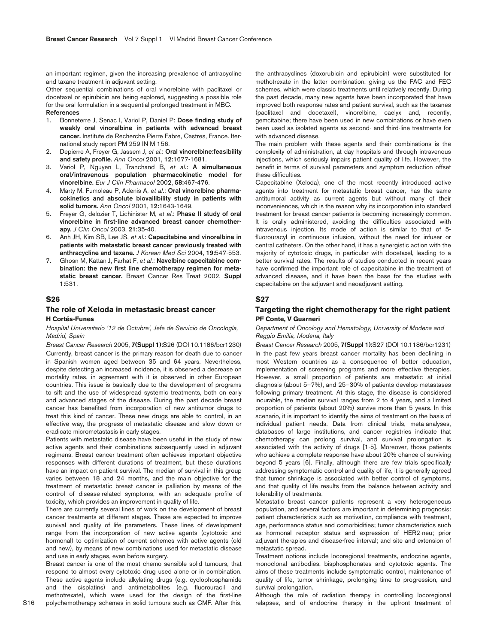an important regimen, given the increasing prevalence of antracycline and taxane treatment in adjuvant setting.

Other sequential combinations of oral vinorelbine with paclitaxel or docetaxel or epirubicin are being explored, suggesting a possible role for the oral formulation in a sequential prolonged treatment in MBC. **References**

- 1. Bonneterre J, Senac I, Variol P, Daniel P: **Dose finding study of weekly oral vinorelbine in patients with advanced breast cancer.** Institute de Recherche Pierre Fabre, Castres, France. Iternational study report PM 259 IN M 156.
- 2. Depierre A, Freyer G, Jassem J, *et al*.: **Oral vinorelbine:feasibility and safety profile.** *Ann Oncol* 2001, **12:**1677-1681.
- 3. Variol P, Nguyen L, Tranchand B, *et al*.: **A simultaneous oral/intravenous population pharmacokinetic model for vinorelbine.** *Eur J Clin Pharmacol* 2002, **58:**467-476.
- 4. Marty M, Fumoleau P, Adenis A, *et al*.: **Oral vinorelbine pharmacokinetics and absolute biovailibility study in patients with solid tumors.** *Ann Oncol* 2001, **12:**1643-1649.
- 5. Freyer G, delozier T, Lichinister M, *et al*.: **Phase II study of oral vinorelbine in first-line advanced breast cancer chemotherapy.** *J Clin Oncol* 2003, **21:**35-40.
- 6. Anh JH, Kim SB, Lee JS, *et al*.: **Capecitabine and vinorelbine in patients with metastatic breast cancer previously treated with anthracycline and taxane.** *J Korean Med Sci* 2004, **19:**547-553.
- 7. Ghosn M, Kattan J, Farhat F, *et al*.: **Navelbine capecitabine combination: the new first line chemotherapy regimen for metastatic breast cancer.** Breast Cancer Res Treat 2002, **Suppl 1:**531.

### **S26**

#### **The role of Xeloda in metastasic breast cancer H Cortés-Funes**

#### *Hospital Universitario '12 de Octubre', Jefe de Servicio de Oncología, Madrid, Spain*

*Breast Cancer Research* 2005, **7(Suppl 1):**S26 (DOI 10.1186/bcr1230) Currently, breast cancer is the primary reason for death due to cancer in Spanish women aged between 35 and 64 years. Nevertheless, despite detecting an increased incidence, it is observed a decrease on mortality rates, in agreement with it is observed in other European countries. This issue is basically due to the development of programs to sift and the use of widespread systemic treatments, both on early and advanced stages of the disease. During the past decade breast cancer has benefited from incorporation of new antitumor drugs to treat this kind of cancer. These new drugs are able to control, in an effective way, the progress of metastatic disease and slow down or eradicate micrometastasis in early stages.

Patients with metastatic disease have been useful in the study of new active agents and their combinations subsequently used in adjuvant regimens. Breast cancer treatment often achieves important objective responses with different durations of treatment, but these durations have an impact on patient survival. The median of survival in this group varies between 18 and 24 months, and the main objective for the treatment of metastatic breast cancer is palliation by means of the control of disease-related symptoms, with an adequate profile of toxicity, which provides an improvement in quality of life.

There are currently several lines of work on the development of breast cancer treatments at different stages. These are expected to improve survival and quality of life parameters. These lines of development range from the incorporation of new active agents (cytotoxic and hormonal) to optimization of current schemes with active agents (old and new), by means of new combinations used for metastatic disease and use in early stages, even before surgery.

Breast cancer is one of the most chemo sensible solid tumours, that respond to almost every cytotoxic drug used alone or in combination. These active agents include alkylating drugs (e.g. cyclophosphamide and the cisplatins) and antimetabolites (e.g. fluorouracil and methotrexate), which were used for the design of the first-line polychemotherapy schemes in solid tumours such as CMF. After this,

the anthracyclines (doxorubicin and epirubicin) were substituted for methotrexate in the latter combination, giving us the FAC and FEC schemes, which were classic treatments until relatively recently. During the past decade, many new agents have been incorporated that have improved both response rates and patient survival, such as the taxanes (paclitaxel and docetaxel), vinorelbine, caelyx and, recently, gemcitabine; there have been used in new combinations or have even been used as isolated agents as second- and third-line treatments for with advanced disease.

The main problem with these agents and their combinations is the complexity of administration, at day hospitals and through intravenous injections, which seriously impairs patient quality of life. However, the benefit in terms of survival parameters and symptom reduction offset these difficulties.

Capecitabine (Xeloda), one of the most recently introduced active agents into treatment for metastatic breast cancer, has the same antitumoral activity as current agents but without many of their inconveniences, which is the reason why its incorporation into standard treatment for breast cancer patients is becoming increasingly common. It is orally administered, avoiding the difficulties associated with intravenous injection. Its mode of action is similar to that of 5 fluorouracyl in continuous infusion, without the need for infuser or central catheters. On the other hand, it has a synergistic action with the majority of cytotoxic drugs, in particular with docetaxel, leading to a better survival rates. The results of studies conducted in recent years have confirmed the important role of capecitabine in the treatment of advanced disease, and it have been the base for the studies with capecitabine on the adjuvant and neoadjuvant setting.

### **S27**

### **Targeting the right chemotherapy for the right patient PF Conte, V Guarneri**

*Department of Oncology and Hematology, University of Modena and Reggio Emilia, Modena, Italy*

*Breast Cancer Research* 2005, **7(Suppl 1):**S27 (DOI 10.1186/bcr1231) In the past few years breast cancer mortality has been declining in most Western countries as a consequence of better education, implementation of screening programs and more effective therapies. However, a small proportion of patients are metastatic at initial diagnosis (about 5–7%), and 25–30% of patients develop metastases following primary treatment. At this stage, the disease is considered incurable, the median survival ranges from 2 to 4 years, and a limited proportion of patients (about 20%) survive more than 5 years. In this scenario, it is important to identify the aims of treatment on the basis of individual patient needs. Data from clinical trials, meta-analyses, databases of large institutions, and cancer registries indicate that chemotherapy can prolong survival, and survival prolongation is associated with the activity of drugs [1-5]. Moreover, those patients who achieve a complete response have about 20% chance of surviving beyond 5 years [6]. Finally, although there are few trials specifically addressing symptomatic control and quality of life, it is generally agreed that tumor shrinkage is associated with better control of symptoms, and that quality of life results from the balance between activity and tolerability of treatments.

Metastatic breast cancer patients represent a very heterogeneous population, and several factors are important in determining prognosis: patient characteristics such as motivation, compliance with treatment, age, performance status and comorbidities; tumor characteristics such as hormonal receptor status and expression of HER2-neu; prior adjuvant therapies and disease-free interval; and site and extension of metastatic spread.

Treatment options include locoregional treatments, endocrine agents, monoclonal antibodies, bisphosphonates and cytotoxic agents. The aims of these treatments include symptomatic control, maintenance of quality of life, tumor shrinkage, prolonging time to progression, and survival prolongation.

Although the role of radiation therapy in controlling locoregional relapses, and of endocrine therapy in the upfront treatment of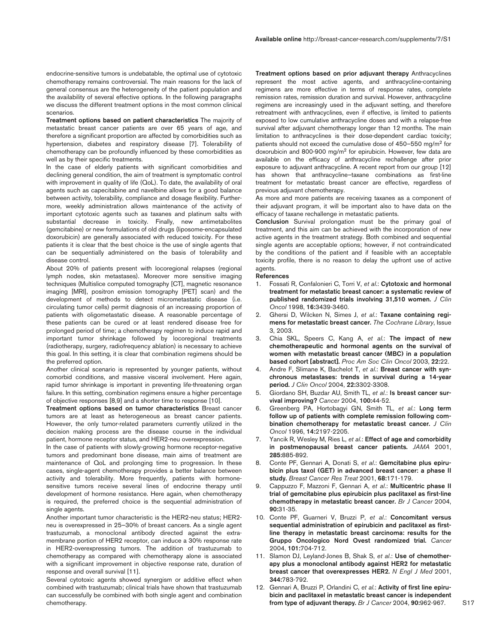endocrine-sensitive tumors is undebatable, the optimal use of cytotoxic chemotherapy remains controversial. The main reasons for the lack of general consensus are the heterogeneity of the patient population and the availability of several effective options. In the following paragraphs we discuss the different treatment options in the most common clinical scenarios.

**Treatment options based on patient characteristics** The majority of metastatic breast cancer patients are over 65 years of age, and therefore a significant proportion are affected by comorbidities such as hypertension, diabetes and respiratory disease [7]. Tolerability of chemotherapy can be profoundly influenced by these comorbidities as well as by their specific treatments.

In the case of elderly patients with significant comorbidities and declining general condition, the aim of treatment is symptomatic control with improvement in quality of life (QoL). To date, the availability of oral agents such as capecitabine and navelbine allows for a good balance between activity, tolerability, compliance and dosage flexibility. Furthermore, weekly administration allows maintenance of the activity of important cytotoxic agents such as taxanes and platinum salts with substantial decrease in toxicity. Finally, new antimetabolites (gemcitabine) or new formulations of old drugs (liposome-encapsulated doxorubicin) are generally associated with reduced toxicity. For these patients it is clear that the best choice is the use of single agents that can be sequentially administered on the basis of tolerability and disease control.

About 20% of patients present with locoregional relapses (regional lymph nodes, skin metastases). Moreover more sensitive imaging techniques (Multislice computed tomography [CT], magnetic resonance imaging [MRI], positron emission tomography [PET] scan) and the development of methods to detect micrometastatic disease (i.e. circulating tumor cells) permit diagnosis of an increasing proportion of patients with oligometastatic disease. A reasonable percentage of these patients can be cured or at least rendered disease free for prolonged period of time; a chemotherapy regimen to induce rapid and important tumor shrinkage followed by locoregional treatments (radiotherapy, surgery, radiofrequency ablation) is necessary to achieve this goal. In this setting, it is clear that combination regimens should be the preferred option.

Another clinical scenario is represented by younger patients, without comorbid conditions, and massive visceral involvement. Here again, rapid tumor shrinkage is important in preventing life-threatening organ failure. In this setting, combination regimens ensure a higher percentage of objective responses [8,9] and a shorter time to response [10].

**Treatment options based on tumor characteristics** Breast cancer tumors are at least as heterogeneous as breast cancer patients. However, the only tumor-related parameters currently utilized in the decision making process are the disease course in the individual patient, hormone receptor status, and HER2-neu overexpression.

In the case of patients with slowly-growing hormone receptor-negative tumors and predominant bone disease, main aims of treatment are maintenance of QoL and prolonging time to progression. In these cases, single-agent chemotherapy provides a better balance between activity and tolerability. More frequently, patients with hormonesensitive tumors receive several lines of endocrine therapy until development of hormone resistance. Here again, when chemotherapy is required, the preferred choice is the sequential administration of single agents.

Another important tumor characteristic is the HER2-neu status; HER2 neu is overexpressed in 25–30% of breast cancers. As a single agent trastuzumab, a monoclonal antibody directed against the extramembrane portion of HER2 receptor, can induce a 30% response rate in HER2-overexpressing tumors. The addition of trastuzumab to chemotherapy as compared with chemotherapy alone is associated with a significant improvement in objective response rate, duration of response and overall survival [11].

Several cytotoxic agents showed synergism or additive effect when combined with trastuzumab; clinical trials have shown that trastuzumab can successfully be combined with both single agent and combination chemotherapy.

**Treatment options based on prior adjuvant therapy** Anthracyclines represent the most active agents, and anthracycline-containing regimens are more effective in terms of response rates, complete remission rates, remission duration and survival. However, anthracycline regimens are increasingly used in the adjuvant setting, and therefore retreatment with anthracyclines, even if effective, is limited to patients exposed to low cumulative anthracycline doses and with a relapse-free survival after adjuvant chemotherapy longer than 12 months. The main limitation to anthracyclines is their dose-dependent cardiac toxicity; patients should not exceed the cumulative dose of 450–550 mg/m2 for doxorubicin and 800-900 mg/m2 for epirubicin. However, few data are available on the efficacy of anthracycline rechallenge after prior exposure to adjuvant anthracycline. A recent report from our group [12] has shown that anthracycline–taxane combinations as first-line treatment for metastatic breast cancer are effective, regardless of previous adjuvant chemotherapy.

As more and more patients are receiving taxanes as a component of their adjuvant program, it will be important also to have data on the efficacy of taxane rechallenge in metastatic patients.

**Conclusion** Survival prolongation must be the primary goal of treatment, and this aim can be achieved with the incorporation of new active agents in the treatment strategy. Both combined and sequential single agents are acceptable options; however, if not contraindicated by the conditions of the patient and if feasible with an acceptable toxicity profile, there is no reason to delay the upfront use of active agents.

#### **References**

- 1. Fossati R, Confalonieri C, Torri V, *et al*.: **Cytotoxic and hormonal treatment for metastatic breast cancer: a systematic review of published randomized trials involving 31,510 women.** *J Clin Oncol* 1998, **16:**3439-3460.
- 2. Ghersi D, Wilcken N, Simes J, *et al*.: **Taxane containing regimens for metastatic breast cancer.** *The Cochrane Library*, Issue 3, 2003.
- 3. Chia SKL, Speers C, Kang A, *et al*.: **The impact of new chemotherapeutic and hormonal agents on the survival of women with metastatic breast cancer (MBC) in a population based cohort [abstract].** *Proc Am Soc Clin Oncol* 2003, **22:**22.
- 4. Andre F, Slimane K, Bachelot T, *et al*.: **Breast cancer with synchronous metastases: trends in survival during a 14-year period.** *J Clin Oncol* 2004, **22:**3302-3308.
- 5. Giordano SH, Buzdar AU, Smith TL, *et al*.: **Is breast cancer survival improving?** *Cancer* 2004, **100:**44-52.
- 6. Greenberg PA, Hortobagyi GN, Smith TL, *et al*.: **Long term follow up of patients with complete remission following combination chemotherapy for metastatic breast cancer.** *J Clin Oncol* 1996, **14:**2197-2205.
- 7. Yancik R, Wesley M, Ries L, *et al*.: **Effect of age and comorbidity in postmenopausal breast cancer patients.** *JAMA* 2001, **285:**885-892.
- 8. Conte PF, Gennari A, Donati S, *et al*.: **Gemcitabine plus epirubicin plus taxol (GET) in advanced breast cancer: a phase II study.** *Breast Cancer Res Treat* 2001, **68:**171-179.
- 9. Cappuzzo F, Mazzoni F, Gennari A, *et al*.: **Multicentric phase II trial of gemcitabine plus epirubicin plus paclitaxel as first-line chemotherapy in metastatic breast cancer.** *Br J Cancer* 2004, **90:**31-35.
- 10. Conte PF, Guarneri V, Bruzzi P, *et al*.: **Concomitant versus sequential administration of epirubicin and paclitaxel as firstline therapy in metastatic breast carcinoma: results for the Gruppo Oncologico Nord Ovest randomized trial.** *Cancer* 2004, **101:**704-712.
- 11. Slamon DJ, Leyland-Jones B, Shak S, *et al*.: **Use of chemotherapy plus a monoclonal antibody against HER2 for metastatic breast cancer that overexpresses HER2.** *N Engl J Med* 2001, **344:**783-792.
- 12. Gennari A, Bruzzi P, Orlandini C, *et al*.: **Activity of first line epirubicin and paclitaxel in metastatic breast cancer is independent from type of adjuvant therapy.** *Br J Cancer* 2004, **90:**962-967.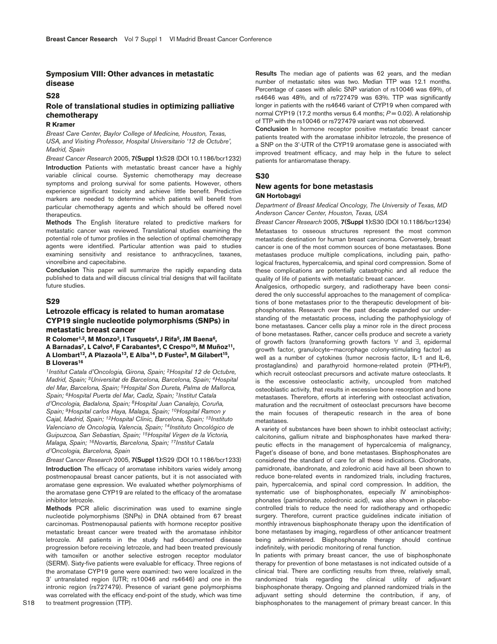### **Symposium VIII: Other advances in metastatic disease**

### **S28**

### **Role of translational studies in optimizing palliative chemotherapy**

### **R Kramer**

*Breast Care Center, Baylor College of Medicine, Houston, Texas, USA, and Visiting Professor, Hospital Universitario '12 de Octubre', Madrid, Spain*

*Breast Cancer Research* 2005, **7(Suppl 1):**S28 (DOI 10.1186/bcr1232) **Introduction** Patients with metastatic breast cancer have a highly variable clinical course. Systemic chemotherapy may decrease symptoms and prolong survival for some patients. However, others experience significant toxicity and achieve little benefit. Predictive markers are needed to determine which patients will benefit from particular chemotherapy agents and which should be offered novel therapeutics.

**Methods** The English literature related to predictive markers for metastatic cancer was reviewed. Translational studies examining the potential role of tumor profiles in the selection of optimal chemotherapy agents were identified. Particular attention was paid to studies examining sensitivity and resistance to anthracyclines, taxanes, vinorelbine and capecitabine.

**Conclusion** This paper will summarize the rapidly expanding data published to data and will discuss clinical trial designs that will facilitate future studies.

#### **S29**

### **Letrozole efficacy is related to human aromatase CYP19 single nucleotide polymorphisms (SNPs) in metastatic breast cancer**

**R Colomer1,2, M Monzo3, I Tusquets4, J Rifa5, JM Baena6, A Barnadas7, L Calvo8, F Carabantes9, C Crespo10, M Muñoz11, A Llombart12, A Plazaola13, E Alba14, D Fuster3, M Gilabert15, B Lloveras16**

*1Institut Catala d'Oncologia, Girona, Spain; 2Hospital 12 de Octubre, Madrid, Spain; 3Universitat de Barcelona, Barcelona, Spain; 4Hospital del Mar, Barcelona, Spain; 5Hospital Son Dureta, Palma de Mallorca, Spain; 6Hospital Puerta del Mar, Cadiz, Spain; 7Institut Catala d'Oncologia, Badalona, Spain; 8Hospital Juan Canalejo, Coruña, Spain; 9Hospital carlos Haya, Malaga, Spain; 10Hospital Ramon y Cajal, Madrid, Spain; 12Hospital Clinic, Barcelona, Spain; 13Instituto Valenciano de Oncologia, Valencia, Spain; 14Instituto Oncológico de Guipuzcoa, San Sebastian, Spain; 15Hospital Virgen de la Victoria, Malaga, Spain; 16Novartis, Barcelona, Spain; 17Institut Catala d'Oncologia, Barcelona, Spain*

*Breast Cancer Research* 2005, **7(Suppl 1):**S29 (DOI 10.1186/bcr1233) **Introduction** The efficacy of aromatase inhibitors varies widely among postmenopausal breast cancer patients, but it is not associated with aromatase gene expression. We evaluated whether polymorphisms of the aromatase gene CYP19 are related to the efficacy of the aromatase inhibitor letrozole.

**Methods** PCR allelic discrimination was used to examine single nucleotide polymorphisms (SNPs) in DNA obtained from 67 breast carcinomas. Postmenopausal patients with hormone receptor positive metastatic breast cancer were treated with the aromatase inhibitor letrozole. All patients in the study had documented disease progression before receiving letrozole, and had been treated previously with tamoxifen or another selective estrogen receptor modulator (SERM). Sixty-five patients were evaluable for efficacy. Three regions of the aromatase CYP19 gene were examined: two were localized in the 3' untranslated region (UTR; rs10046 and rs4646) and one in the intronic region (rs727479). Presence of variant gene polymorphisms was correlated with the efficacy end-point of the study, which was time to treatment progression (TTP).

**Results** The median age of patients was 62 years, and the median number of metastatic sites was two. Median TTP was 12.1 months. Percentage of cases with allelic SNP variation of rs10046 was 69%, of rs4646 was 48%, and of rs727479 was 63%. TTP was significantly longer in patients with the rs4646 variant of CYP19 when compared with normal CYP19 (17.2 months versus 6.4 months;  $P = 0.02$ ). A relationship of TTP with the rs10046 or rs727479 variant was not observed.

**Conclusion** In hormone receptor positive metastatic breast cancer patients treated with the aromatase inhibitor letrozole, the presence of a SNP on the 3'-UTR of the CYP19 aromatase gene is associated with improved treatment efficacy, and may help in the future to select patients for antiaromatase therapy.

### **S30**

### **New agents for bone metastasis GN Hortobagyi**

*Department of Breast Medical Oncology, The University of Texas, MD Anderson Cancer Center, Houston, Texas, USA*

*Breast Cancer Research* 2005, **7(Suppl 1):**S30 (DOI 10.1186/bcr1234) Metastases to osseous structures represent the most common metastatic destination for human breast carcinoma. Conversely, breast cancer is one of the most common sources of bone metastases. Bone metastases produce multiple complications, including pain, pathological fractures, hypercalcemia, and spinal cord compression. Some of these complications are potentially catastrophic and all reduce the quality of life of patients with metastatic breast cancer.

Analgesics, orthopedic surgery, and radiotherapy have been considered the only successful approaches to the management of complications of bone metastases prior to the therapeutic development of bisphosphonates. Research over the past decade expanded our understanding of the metastatic process, including the pathophysiology of bone metastases. Cancer cells play a minor role in the direct process of bone metastases. Rather, cancer cells produce and secrete a variety of growth factors (transforming growth factors ∀ and ∃, epidermal growth factor, granulocyte–macrophage colony-stimulating factor) as well as a number of cytokines (tumor necrosis factor, IL-1 and IL-6, prostaglandins) and parathyroid hormone-related protein (PTHrP), which recruit osteoclast precursors and activate mature osteoclasts. It is the excessive osteoclastic activity, uncoupled from matched osteoblastic activity, that results in excessive bone resorption and bone metastases. Therefore, efforts at interfering with osteoclast activation, maturation and the recruitment of osteoclast precursors have become the main focuses of therapeutic research in the area of bone metastases.

A variety of substances have been shown to inhibit osteoclast activity; calcitonins, gallium nitrate and bisphosphonates have marked therapeutic effects in the management of hypercalcemia of malignancy, Paget's disease of bone, and bone metastases. Bisphosphonates are considered the standard of care for all these indications. Clodronate, pamidronate, ibandronate, and zoledronic acid have all been shown to reduce bone-related events in randomized trials, including fractures, pain, hypercalcemia, and spinal cord compression. In addition, the systematic use of bisphosphonates, especially IV aminobisphosphonates (pamidronate, zoledronic acid), was also shown in placebocontrolled trials to reduce the need for radiotherapy and orthopedic surgery. Therefore, current practice guidelines indicate initiation of monthly intravenous bisphosphonate therapy upon the identification of bone metastases by imaging, regardless of other anticancer treatment being administered. Bisphosphonate therapy should continue indefinitely, with periodic monitoring of renal function.

In patients with primary breast cancer, the use of bisphosphonate therapy for prevention of bone metastases is not indicated outside of a clinical trial. There are conflicting results from three, relatively small, randomized trials regarding the clinical utility of adjuvant bisphosphonate therapy. Ongoing and planned randomized trials in the adjuvant setting should determine the contribution, if any, of bisphosphonates to the management of primary breast cancer. In this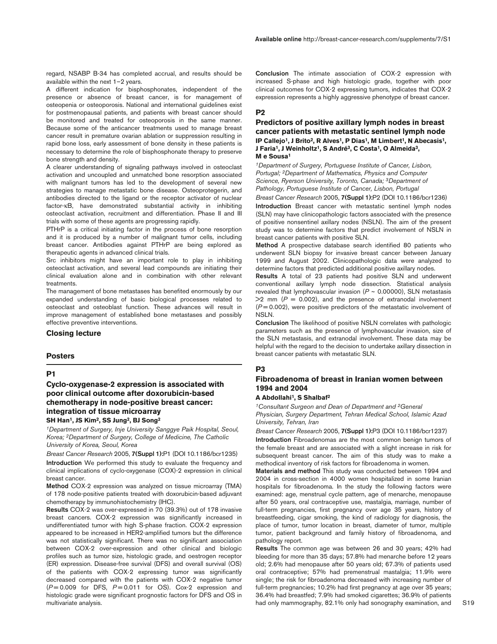regard, NSABP B-34 has completed accrual, and results should be available within the next 1–2 years.

A different indication for bisphosphonates, independent of the presence or absence of breast cancer, is for management of osteopenia or osteoporosis. National and international guidelines exist for postmenopausal patients, and patients with breast cancer should be monitored and treated for osteoporosis in the same manner. Because some of the anticancer treatments used to manage breast cancer result in premature ovarian ablation or suppression resulting in rapid bone loss, early assessment of bone density in these patients is necessary to determine the role of bisphosphonate therapy to preserve bone strength and density.

A clearer understanding of signaling pathways involved in osteoclast activation and uncoupled and unmatched bone resorption associated with malignant tumors has led to the development of several new strategies to manage metastatic bone disease. Osteoprotegerin, and antibodies directed to the ligand or the receptor activator of nuclear factor-κB, have demonstrated substantial activity in inhibiting osteoclast activation, recruitment and differentiation. Phase II and III trials with some of these agents are progressing rapidly.

PTHrP is a critical initiating factor in the process of bone resorption and it is produced by a number of malignant tumor cells, including breast cancer. Antibodies against PTHrP are being explored as therapeutic agents in advanced clinical trials.

Src inhibitors might have an important role to play in inhibiting osteoclast activation, and several lead compounds are initiating their clinical evaluation alone and in combination with other relevant treatments.

The management of bone metastases has benefited enormously by our expanded understanding of basic biological processes related to osteoclast and osteoblast function. These advances will result in improve management of established bone metastases and possibly effective preventive interventions.

#### **Closing lecture**

#### **Posters**

### **P1**

**Cyclo-oxygenase-2 expression is associated with poor clinical outcome after doxorubicin-based chemotherapy in node-positive breast cancer: integration of tissue microarray SH Han1, JS Kim2, SS Jung2, BJ Song2**

*1Department of Surgery, Inje University Sanggye Paik Hospital, Seoul, Korea; 2Department of Surgery, College of Medicine, The Catholic University of Korea, Seoul, Korea*

*Breast Cancer Research* 2005, **7(Suppl 1):**P1 (DOI 10.1186/bcr1235) **Introduction** We performed this study to evaluate the frequency and clinical implications of cyclo-oxygenase (COX)-2 expression in clinical breast cancer.

**Method** COX-2 expression was analyzed on tissue microarray (TMA) of 178 node-positive patients treated with doxorubicin-based adjuvant chemotherapy by immunohistochemistry (IHC).

**Results** COX-2 was over-expressed in 70 (39.3%) out of 178 invasive breast cancers. COX-2 expression was significantly increased in undifferentiated tumor with high S-phase fraction. COX-2 expression appeared to be increased in HER2-amplified tumors but the difference was not statistically significant. There was no significant association between COX-2 over-expression and other clinical and biologic profiles such as tumor size, histologic grade, and oestrogen receptor (ER) expression. Disease-free survival (DFS) and overall survival (OS) of the patients with COX-2 expressing tumor was significantly decreased compared with the patients with COX-2 negative tumor (*P* = 0.009 for DFS, *P* = 0.011 for OS). Cox-2 expression and histologic grade were significant prognostic factors for DFS and OS in multivariate analysis.

**Conclusion** The intimate association of COX-2 expression with increased S-phase and high histologic grade, together with poor clinical outcomes for COX-2 expressing tumors, indicates that COX-2 expression represents a highly aggressive phenotype of breast cancer.

#### **P**2

### **Predictors of positive axillary lymph nodes in breast cancer patients with metastatic sentinel lymph node** IP Callejo<sup>1</sup>, J Brito<sup>2</sup>, R Alves<sup>1</sup>, P Dias<sup>1</sup>, M Limbert<sup>1</sup>, N Abecasis<sup>1</sup>, **J Faria1, J Weinholtz1, S André3, C Costa1, O Almeida3, M e Sousa1**

*1Department of Surgery, Portuguese Institute of Cancer, Lisbon, Portugal; 2Department of Mathematics, Physics and Computer Science, Ryerson University, Toronto, Canada; 3Department of Pathology, Portuguese Institute of Cancer, Lisbon, Portugal*

*Breast Cancer Research* 2005, **7(Suppl 1):**P2 (DOI 10.1186/bcr1236) **Introduction** Breast cancer with metastatic sentinel lymph nodes (SLN) may have clinicopathologic factors associated with the presence

of positive nonsentinel axillary nodes (NSLN). The aim of the present study was to determine factors that predict involvement of NSLN in breast cancer patients with positive SLN.

**Method** A prospective database search identified 80 patients who underwent SLN biopsy for invasive breast cancer between January 1999 and August 2002. Clinicopathologic data were analyzed to determine factors that predicted additional positive axillary nodes.

**Results** A total of 23 patients had positive SLN and underwent conventional axillary lymph node dissection. Statistical analysis revealed that lymphovascular invasion  $(P \sim 0.00000)$ , SLN metastasis  $>2$  mm ( $P = 0.002$ ), and the presence of extranodal involvement  $(P=0.002)$ , were positive predictors of the metastatic involvement of NSLN.

**Conclusion** The likelihood of positive NSLN correlates with pathologic parameters such as the presence of lymphovascular invasion, size of the SLN metastasis, and extranodal involvement. These data may be helpful with the regard to the decision to undertake axillary dissection in breast cancer patients with metastatic SLN.

### **P3**

### **Fibroadenoma of breast in Iranian women between 1994 and 2004**

#### **A Abdollahi1, S Shalbaf2**

*1Consultant Surgeon and Dean of Department and 2General Physician, Surgery Department, Tehran Medical School, Islamic Azad University, Tehran, Iran*

*Breast Cancer Research* 2005, **7(Suppl 1):**P3 (DOI 10.1186/bcr1237)

**Introduction** Fibroadenomas are the most common benign tumors of the female breast and are associated with a slight increase in risk for subsequent breast cancer. The aim of this study was to make a methodical inventory of risk factors for fibroadenoma in women.

**Materials and method** This study was conducted between 1994 and 2004 in cross-section in 4000 women hospitalized in some Iranian hospitals for fibroadenoma. In the study the following factors were examined: age, menstrual cycle pattern, age of menarche, menopause after 50 years, oral contraceptive use, mastalgia, marriage, number of full-term pregnancies, first pregnancy over age 35 years, history of breastfeeding, cigar smoking, the kind of radiology for diagnosis, the place of tumor, tumor location in breast, diameter of tumor, multiple tumor, patient background and family history of fibroadenoma, and pathology report.

**Results** The common age was between 26 and 30 years; 42% had bleeding for more than 35 days; 57.8% had menarche before 12 years old; 2.6% had menopause after 50 years old; 67.3% of patients used oral contraceptive; 57% had premenstrual mastalgia; 11.9% were single; the risk for fibroadenoma decreased with increasing number of full-term pregnancies; 10.2% had first pregnancy at age over 35 years; 36.4% had breastfed; 7.9% had smoked cigarettes; 36.9% of patients had only mammography, 82.1% only had sonography examination, and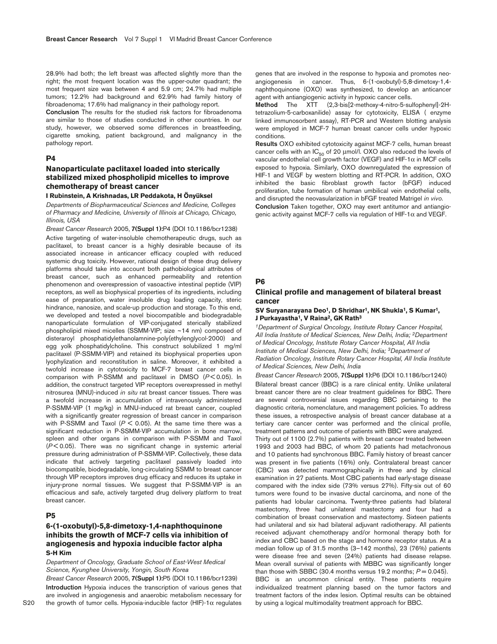28.9% had both; the left breast was affected slightly more than the right; the most frequent location was the upper-outer quadrant; the most frequent size was between 4 and 5.9 cm; 24.7% had multiple tumors; 12.2% had background and 62.9% had family history of fibroadenoma; 17.6% had malignancy in their pathology report.

**Conclusion** The results for the studied risk factors for fibroadenoma are similar to those of studies conducted in other countries. In our study, however, we observed some differences in breastfeeding, cigarette smoking, patient background, and malignancy in the pathology report.

### **P4**

### **Nanoparticulate paclitaxel loaded into sterically stabilized mixed phospholipid micelles to improve chemotherapy of breast cancer**

#### **I Rubinstein, A Krishnadas, LR Peddakota, H Önyüksel**

*Departments of Biopharmaceutical Sciences and Medicine, Colleges of Pharmacy and Medicine, University of Illinois at Chicago, Chicago, Illinois, USA*

#### *Breast Cancer Research* 2005, **7(Suppl 1):**P4 (DOI 10.1186/bcr1238)

Active targeting of water-insoluble chemotherapeutic drugs, such as paclitaxel, to breast cancer is a highly desirable because of its associated increase in anticancer efficacy coupled with reduced systemic drug toxicity. However, rational design of these drug delivery platforms should take into account both pathobiological attributes of breast cancer, such as enhanced permeability and retention phenomenon and overexpression of vasoactive intestinal peptide (VIP) receptors, as well as biophysical properties of its ingredients, including ease of preparation, water insoluble drug loading capacity, steric hindrance, nanosize, and scale-up production and storage. To this end, we developed and tested a novel biocompatible and biodegradable nanoparticulate formulation of VIP-conjugated sterically stabilized phospholipid mixed micelles (SSMM-VIP; size ~14 nm) composed of disteraroyl phosphatidylethanolamnine-poly(ethylenglycol-2000) and egg yolk phosphatidylcholine. This construct solubilized 1 mg/ml paclitaxel (P-SSMM-VIP) and retained its biophysical properties upon lyophylization and reconstitution in saline. Moreover, it exhibited a twofold increase in cytotoxicity to MCF-7 breast cancer cells in comparison with P-SSMM and paclitaxel in DMSO (*P* < 0.05). In addition, the construct targeted VIP receptors overexpressed in methyl nitrosurea (MNU)-induced *in situ* rat breast cancer tissues. There was a twofold increase in accumulation of intravenously administered P-SSMM-VIP (1 mg/kg) in MNU-induced rat breast cancer, coupled with a significantly greater regression of breast cancer in comparison with P-SSMM and Taxol ( $P \le 0.05$ ). At the same time there was a significant reduction in P-SSMM-VIP accumulation in bone marrow, spleen and other organs in comparison with P-SSMM and Taxol (*P* < 0.05). There was no significant change in systemic arterial pressure during administration of P-SSMM-VIP. Collectively, these data indicate that actively targeting paclitaxel passively loaded into biocompatible, biodegradable, long-circulating SSMM to breast cancer through VIP receptors improves drug efficacy and reduces its uptake in injury-prone normal tissues. We suggest that P-SSMM-VIP is an efficacious and safe, actively targeted drug delivery platform to treat breast cancer.

### **P5**

### **6-(1-oxobutyl)-5,8-dimetoxy-1,4-naphthoquinone inhibits the growth of MCF-7 cells via inhibition of angiogenesis and hypoxia inducible factor alpha S-H Kim**

*Department of Oncology, Graduate School of East-West Medical Science, Kyunghee University, Yongin, South Korea*

*Breast Cancer Research* 2005, **7(Suppl 1):**P5 (DOI 10.1186/bcr1239) **Introduction** Hypoxia induces the transcription of various genes that are involved in angiogenesis and anaerobic metabolism necessary for the growth of tumor cells. Hypoxia-inducible factor (HIF)-1 $α$  regulates

S20

genes that are involved in the response to hypoxia and promotes neoangiogenesis in cancer. Thus, 6-(1-oxobutyl)-5,8-dimetoxy-1,4 naphthoquinone (OXO) was synthesized, to develop an anticancer agent with antiangiogenic activity in hypoxic cancer cells.

**Method** The XTT (2,3-bis[2-methoxy-4-nitro-5-sulfophenyl]-2Htetrazolium-5-carboxanilide) assay for cytotoxicity, ELISA ( enzyme linked immunosorbent assay), RT-PCR and Western blotting analysis were employed in MCF-7 human breast cancer cells under hypoxic conditions.

**Results** OXO exhibited cytotoxicity against MCF-7 cells, human breast cancer cells with an  $IC_{50}$  of 20 µmol/l. OXO also reduced the levels of vascular endothelial cell growth factor (VEGF) and HIF-1 $α$  in MCF cells exposed to hypoxia. Similarly, OXO downregulated the expression of HIF-1 and VEGF by western blotting and RT-PCR. In addition, OXO inhibited the basic fibroblast growth factor (bFGF) induced proliferation, tube formation of human umbilical vein endothelial cells, and disrupted the neovasularization in bFGF treated Matrigel *in vivo*.

**Conclusion** Taken together, OXO may exert antitumor and antiangiogenic activity against MCF-7 cells via regulation of HIF-1 $\alpha$  and VEGF.

### **P6**

#### **Clinical profile and management of bilateral breast cancer**

#### **SV Suryanarayana Deo1, D Shridhar1, NK Shukla1, S Kumar1, J Purkayastha1, V Raina2, GK Rath3**

*1Department of Surgical Oncology, Institute Rotary Cancer Hospital, All India Institute of Medical Sciences, New Delhi, India; 2Department of Medical Oncology, Institute Rotary Cancer Hospital, All India Institute of Medical Sciences, New Delhi, India; 3Department of Radiation Oncology, Institute Rotary Cancer Hospital, All India Institute of Medical Sciences, New Delhi, India*

*Breast Cancer Research* 2005, **7(Suppl 1):**P6 (DOI 10.1186/bcr1240) Bilateral breast cancer (BBC) is a rare clinical entity. Unlike unilateral breast cancer there are no clear treatment guidelines for BBC. There are several controversial issues regarding BBC pertaining to the diagnostic criteria, nomenclature, and management policies. To address these issues, a retrospective analysis of breast cancer database at a tertiary care cancer center was performed and the clinical profile, treatment patterns and outcome of patients with BBC were analyzed.

Thirty out of 1100 (2.7%) patients with breast cancer treated between 1993 and 2003 had BBC, of whom 20 patients had metachronous and 10 patients had synchronous BBC. Family history of breast cancer was present in five patients (16%) only. Contralateral breast cancer (CBC) was detected mammographically in three and by clinical examination in 27 patients. Most CBC patients had early-stage disease compared with the index side (73% versus 27%). Fifty-six out of 60 tumors were found to be invasive ductal carcinoma, and none of the patients had lobular carcinoma. Twenty-three patients had bilateral mastectomy, three had unilateral mastectomy and four had a combination of breast conservation and mastectomy. Sixteen patients had unilateral and six had bilateral adjuvant radiotherapy. All patients received adjuvant chemotherapy and/or hormonal therapy both for index and CBC based on the stage and hormone receptor status. At a median follow up of 31.5 months (3–142 months), 23 (76%) patients were disease free and seven (24%) patients had disease relapse. Mean overall survival of patients with MBBC was significantly longer than those with SBBC (30.4 months versus 19.2 months;  $P = 0.045$ ). BBC is an uncommon clinical entity. These patients require individualized treatment planning based on the tumor factors and treatment factors of the index lesion. Optimal results can be obtained

by using a logical multimodality treatment approach for BBC.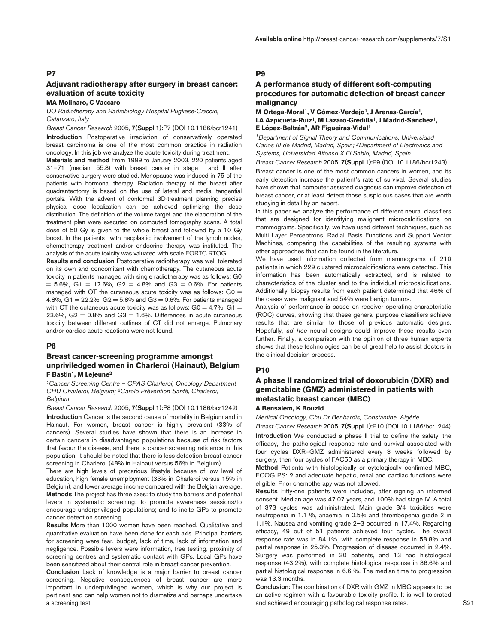### **P7**

# **Adjuvant radiotherapy after surgery in breast cancer: evaluation of acute toxicity**

**MA Molinaro, C Vaccaro**

*UO Radiotherapy and Radiobiology Hospital Pugliese-Ciaccio, Catanzaro, Italy*

#### *Breast Cancer Research* 2005, **7(Suppl 1):**P7 (DOI 10.1186/bcr1241)

**Introduction** Postoperative irradiation of conservatively operated breast carcinoma is one of the most common practice in radiation oncology. In this job we analyze the acute toxicity during treatment.

**Materials and method** From 1999 to January 2003, 220 patients aged 31–71 (median, 55.8) with breast cancer in stage I and II after conservative surgery were studied. Menopause was induced in 75 of the patients with hormonal therapy. Radiation therapy of the breast after quadrantectomy is based on the use of lateral and medial tangential portals. With the advent of conformal 3D-treatment planning precise physical dose localization can be achieved optimizing the dose distribution. The definition of the volume target and the elaboration of the treatment plan were executed on computed tomography scans. A total dose of 50 Gy is given to the whole breast and followed by a 10 Gy boost. In the patients with neoplastic involvement of the lymph nodes, chemotherapy treatment and/or endocrine therapy was instituted. The analysis of the acute toxicity was valuated with scale EORTC RTOG.

**Results and conclusion** Postoperative radiotherapy was well tolerated on its own and concomitant with chemotherapy. The cutaneous acute toxicity in patients managed with single radiotherapy was as follows: G0  $= 5.6\%$ , G1 = 17.6%, G2 = 4.8% and G3 = 0.6%. For patients managed with OT the cutaneous acute toxicity was as follows:  $GO =$ 4.8%,  $G1 = 22.2$ %,  $G2 = 5.8$ % and  $G3 = 0.6$ %. For patients managed with CT the cutaneous acute toxicity was as follows:  $GO = 4.7\%$ ,  $G1 =$  $23.6\%$ ,  $G2 = 0.8\%$  and  $G3 = 1.6\%$ . Differences in acute cutaneous toxicity between different outlines of CT did not emerge. Pulmonary and/or cardiac acute reactions were not found.

#### **P8**

#### **Breast cancer-screening programme amongst unpriviledged women in Charleroi (Hainaut), Belgium F Bastin1, M Lejeune2**

*1Cancer Screening Centre – CPAS Charleroi, Oncology Department CHU Charleroi, Belgium; 2Carolo Prévention Santé, Charleroi, Belgium*

*Breast Cancer Research* 2005, **7(Suppl 1):**P8 (DOI 10.1186/bcr1242)

**Introduction** Cancer is the second cause of mortality in Belgium and in Hainaut. For women, breast cancer is highly prevalent (33% of cancers). Several studies have shown that there is an increase in certain cancers in disadvantaged populations because of risk factors that favour the disease, and there is cancer-screening reticence in this population. It should be noted that there is less detection breast cancer screening in Charleroi (48% in Hainaut versus 56% in Belgium).

There are high levels of precarious lifestyle because of low level of education, high female unemployment (33% in Charleroi versus 15% in Belgium), and lower average income compared with the Belgian average. **Methods** The project has three axes: to study the barriers and potential levers in systematic screening; to promote awareness sessions/to encourage underprivileged populations; and to incite GPs to promote cancer detection screening.

**Results** More than 1000 women have been reached. Qualitative and quantitative evaluation have been done for each axis. Principal barriers for screening were fear, budget, lack of time, lack of information and negligence. Possible levers were information, free testing, proximity of screening centres and systematic contact with GPs. Local GPs have been sensitized about their central role in breast cancer prevention.

**Conclusion** Lack of knowledge is a major barrier to breast cancer screening. Negative consequences of breast cancer are more important in underprivileged women, which is why our project is pertinent and can help women not to dramatize and perhaps undertake a screening test.

### **P9**

### **A performance study of different soft-computing procedures for automatic detection of breast cancer malignancy**

#### **M Ortega-Moral1, V Gómez-Verdejo1, J Arenas-García1, LA Azpicueta-Ruiz1, M Lázaro-Gredilla1, J Madrid-Sánchez1, E López-Beltrán2, AR Figueiras-Vidal1**

*1Department of Signal Theory and Communications, Universidad Carlos III de Madrid, Madrid, Spain; 2Department of Electronics and Systems, Universidad Alfonso X El Sabio, Madrid, Spain*

*Breast Cancer Research* 2005, **7(Suppl 1):**P9 (DOI 10.1186/bcr1243) Breast cancer is one of the most common cancers in women, and its early detection increase the patient's rate of survival. Several studies have shown that computer assisted diagnosis can improve detection of breast cancer, or at least detect those suspicious cases that are worth studying in detail by an expert.

In this paper we analyze the performance of different neural classifiers that are designed for identifying malignant microcalcifications on mammograms. Specifically, we have used different techniques, such as Multi Layer Perceptrons, Radial Basis Functions and Support Vector Machines, comparing the capabilities of the resulting systems with other approaches that can be found in the literature.

We have used information collected from mammograms of 210 patients in which 229 clustered microcalcifications were detected. This information has been automatically extracted, and is related to characteristics of the cluster and to the individual microcalcifications. Additionally, biopsy results from each patient determined that 46% of the cases were malignant and 54% were benign tumors.

Analysis of performance is based on receiver operating characteristic (ROC) curves, showing that these general purpose classifiers achieve results that are similar to those of previous automatic designs. Hopefully, *ad hoc* neural designs could improve these results even further. Finally, a comparison with the opinion of three human experts shows that these technologies can be of great help to assist doctors in the clinical decision process.

#### **P10**

### **A phase II randomized trial of doxorubicin (DXR) and gemcitabine (GMZ) administered in patients with metastatic breast cancer (MBC)**

#### **A Bensalem, K Bouzid**

*Medical Oncology, Chu Dr Benbardis, Constantine, Algérie*

*Breast Cancer Research* 2005, **7(Suppl 1):**P10 (DOI 10.1186/bcr1244) **Introduction** We conducted a phase II trial to define the safety, the efficacy, the pathological response rate and survival associated with four cycles DXR–GMZ administered every 3 weeks followed by surgery, then four cycles of FAC50 as a primary therapy in MBC.

**Method** Patients with histologically or cytologically confirmed MBC, ECOG PS: 2 and adequate hepatic, renal and cardiac functions were eligible. Prior chemotherapy was not allowed.

**Results** Fifty-one patients were included, after signing an informed consent. Median age was 47.07 years, and 100% had stage IV. A total of 373 cycles was administrated. Main grade 3/4 toxicities were neutropenia in 1.1 %, anaemia in 0.5% and thrombopenia grade 2 in 1.1%. Nausea and vomiting grade 2–3 occurred in 17.4%. Regarding efficacy, 49 out of 51 patients achieved four cycles. The overall response rate was in 84.1%, with complete response in 58.8% and partial response in 25.3%. Progression of disease occurred in 2.4%. Surgery was performed in 30 patients, and 13 had histological response (43.2%), with complete histological response in 36.6% and partial histological response in 6.6 %. The median time to progression was 13.3 months.

**Conclusion:** The combination of DXR with GMZ in MBC appears to be an active regimen with a favourable toxicity profile. It is well tolerated and achieved encouraging pathological response rates.